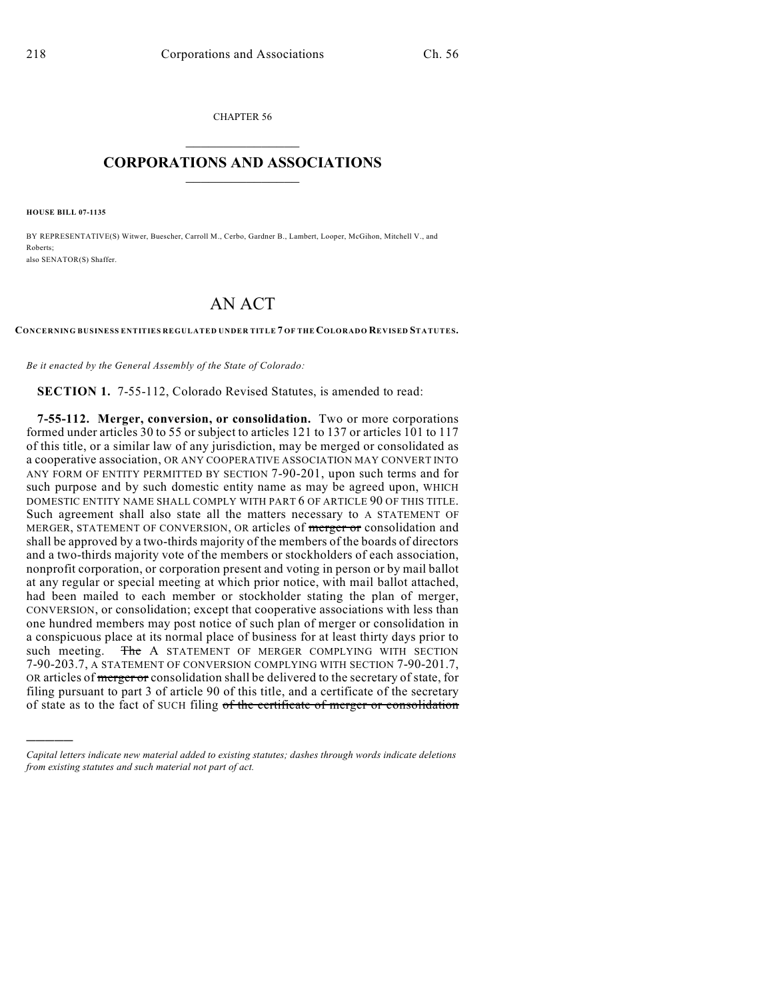CHAPTER 56  $\mathcal{L}_\text{max}$  . The set of the set of the set of the set of the set of the set of the set of the set of the set of the set of the set of the set of the set of the set of the set of the set of the set of the set of the set

### **CORPORATIONS AND ASSOCIATIONS**  $\_$   $\_$   $\_$   $\_$   $\_$   $\_$   $\_$   $\_$   $\_$

**HOUSE BILL 07-1135**

)))))

BY REPRESENTATIVE(S) Witwer, Buescher, Carroll M., Cerbo, Gardner B., Lambert, Looper, McGihon, Mitchell V., and Roberts; also SENATOR(S) Shaffer.

# AN ACT

**CONCERNING BUSINESS ENTITIES REGULATED UNDER TITLE 7 OF THE COLORADO REVISED STATUTES.**

*Be it enacted by the General Assembly of the State of Colorado:*

**SECTION 1.** 7-55-112, Colorado Revised Statutes, is amended to read:

**7-55-112. Merger, conversion, or consolidation.** Two or more corporations formed under articles 30 to 55 or subject to articles 121 to 137 or articles 101 to 117 of this title, or a similar law of any jurisdiction, may be merged or consolidated as a cooperative association, OR ANY COOPERATIVE ASSOCIATION MAY CONVERT INTO ANY FORM OF ENTITY PERMITTED BY SECTION 7-90-201, upon such terms and for such purpose and by such domestic entity name as may be agreed upon, WHICH DOMESTIC ENTITY NAME SHALL COMPLY WITH PART 6 OF ARTICLE 90 OF THIS TITLE. Such agreement shall also state all the matters necessary to A STATEMENT OF MERGER, STATEMENT OF CONVERSION, OR articles of merger or consolidation and shall be approved by a two-thirds majority of the members of the boards of directors and a two-thirds majority vote of the members or stockholders of each association, nonprofit corporation, or corporation present and voting in person or by mail ballot at any regular or special meeting at which prior notice, with mail ballot attached, had been mailed to each member or stockholder stating the plan of merger, CONVERSION, or consolidation; except that cooperative associations with less than one hundred members may post notice of such plan of merger or consolidation in a conspicuous place at its normal place of business for at least thirty days prior to such meeting. The A STATEMENT OF MERGER COMPLYING WITH SECTION 7-90-203.7, A STATEMENT OF CONVERSION COMPLYING WITH SECTION 7-90-201.7, OR articles of merger or consolidation shall be delivered to the secretary of state, for filing pursuant to part 3 of article 90 of this title, and a certificate of the secretary of state as to the fact of SUCH filing of the certificate of merger or consolidation

*Capital letters indicate new material added to existing statutes; dashes through words indicate deletions from existing statutes and such material not part of act.*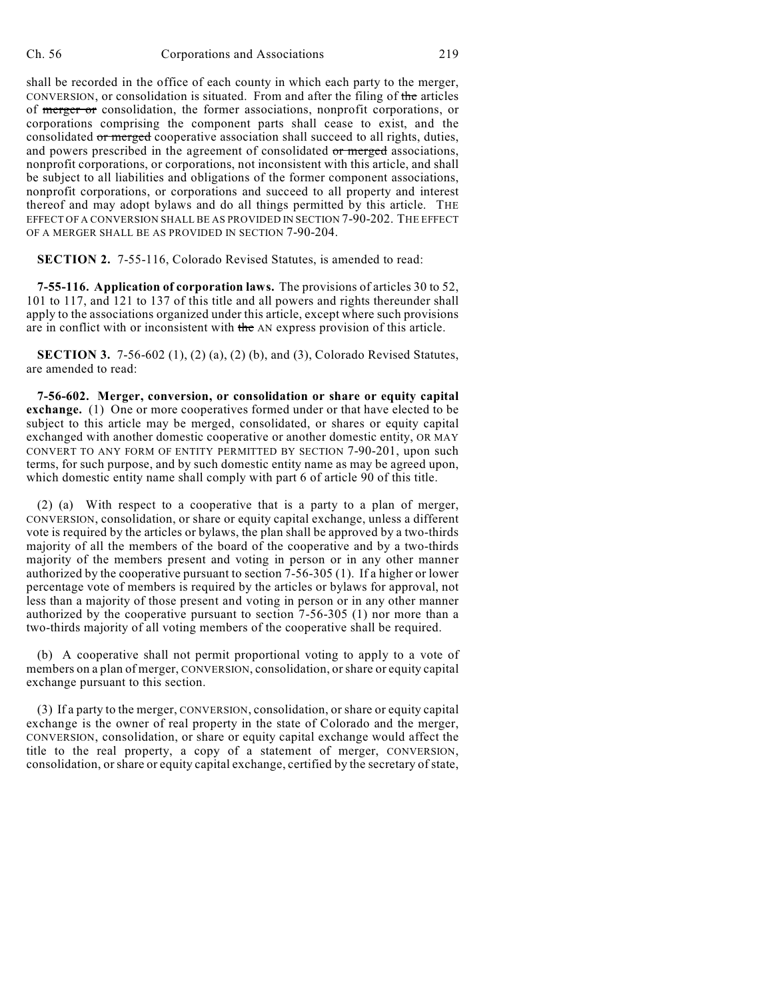shall be recorded in the office of each county in which each party to the merger, CONVERSION, or consolidation is situated. From and after the filing of the articles of merger or consolidation, the former associations, nonprofit corporations, or corporations comprising the component parts shall cease to exist, and the consolidated or merged cooperative association shall succeed to all rights, duties, and powers prescribed in the agreement of consolidated or merged associations, nonprofit corporations, or corporations, not inconsistent with this article, and shall be subject to all liabilities and obligations of the former component associations, nonprofit corporations, or corporations and succeed to all property and interest thereof and may adopt bylaws and do all things permitted by this article. THE EFFECT OF A CONVERSION SHALL BE AS PROVIDED IN SECTION 7-90-202. THE EFFECT OF A MERGER SHALL BE AS PROVIDED IN SECTION 7-90-204.

**SECTION 2.** 7-55-116, Colorado Revised Statutes, is amended to read:

**7-55-116. Application of corporation laws.** The provisions of articles 30 to 52, 101 to 117, and 121 to 137 of this title and all powers and rights thereunder shall apply to the associations organized under this article, except where such provisions are in conflict with or inconsistent with the AN express provision of this article.

**SECTION 3.** 7-56-602 (1), (2) (a), (2) (b), and (3), Colorado Revised Statutes, are amended to read:

**7-56-602. Merger, conversion, or consolidation or share or equity capital exchange.** (1) One or more cooperatives formed under or that have elected to be subject to this article may be merged, consolidated, or shares or equity capital exchanged with another domestic cooperative or another domestic entity, OR MAY CONVERT TO ANY FORM OF ENTITY PERMITTED BY SECTION 7-90-201, upon such terms, for such purpose, and by such domestic entity name as may be agreed upon, which domestic entity name shall comply with part 6 of article 90 of this title.

(2) (a) With respect to a cooperative that is a party to a plan of merger, CONVERSION, consolidation, or share or equity capital exchange, unless a different vote is required by the articles or bylaws, the plan shall be approved by a two-thirds majority of all the members of the board of the cooperative and by a two-thirds majority of the members present and voting in person or in any other manner authorized by the cooperative pursuant to section 7-56-305 (1). If a higher or lower percentage vote of members is required by the articles or bylaws for approval, not less than a majority of those present and voting in person or in any other manner authorized by the cooperative pursuant to section 7-56-305 (1) nor more than a two-thirds majority of all voting members of the cooperative shall be required.

(b) A cooperative shall not permit proportional voting to apply to a vote of members on a plan of merger, CONVERSION, consolidation, or share or equity capital exchange pursuant to this section.

(3) If a party to the merger, CONVERSION, consolidation, or share or equity capital exchange is the owner of real property in the state of Colorado and the merger, CONVERSION, consolidation, or share or equity capital exchange would affect the title to the real property, a copy of a statement of merger, CONVERSION, consolidation, orshare or equity capital exchange, certified by the secretary of state,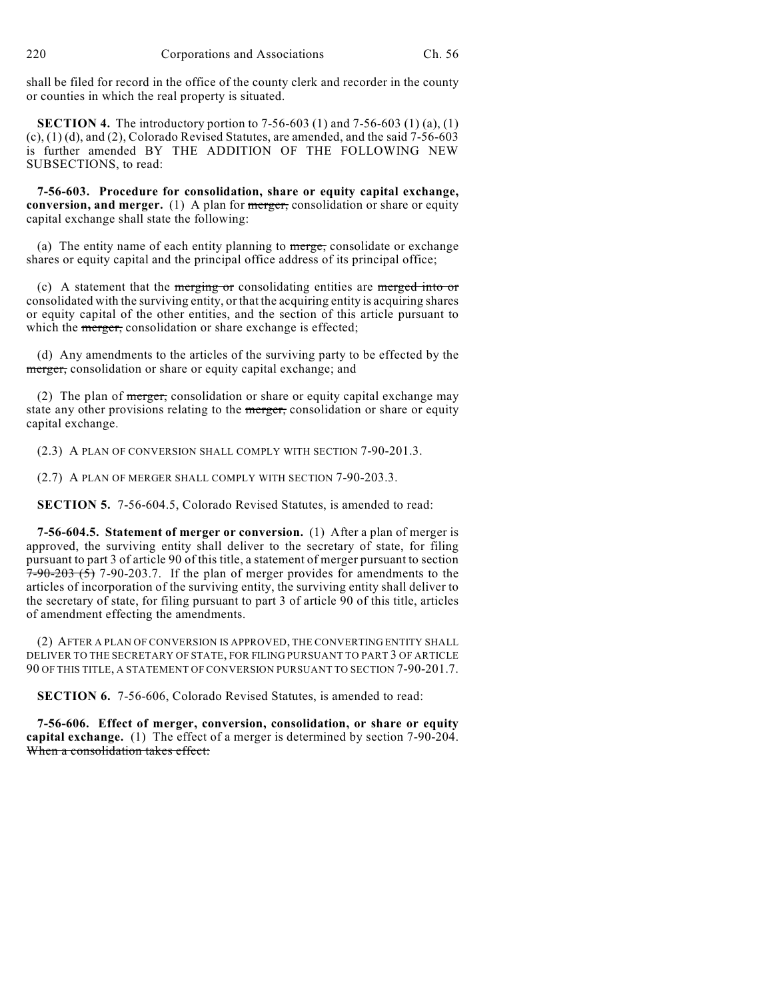shall be filed for record in the office of the county clerk and recorder in the county or counties in which the real property is situated.

**SECTION 4.** The introductory portion to 7-56-603 (1) and 7-56-603 (1) (a), (1) (c), (1) (d), and (2), Colorado Revised Statutes, are amended, and the said 7-56-603 is further amended BY THE ADDITION OF THE FOLLOWING NEW SUBSECTIONS, to read:

**7-56-603. Procedure for consolidation, share or equity capital exchange, conversion, and merger.** (1) A plan for merger, consolidation or share or equity capital exchange shall state the following:

(a) The entity name of each entity planning to  $\frac{m}{\text{erge}}$ , consolidate or exchange shares or equity capital and the principal office address of its principal office;

(c) A statement that the merging or consolidating entities are merged into or consolidated with the surviving entity, or that the acquiring entity is acquiring shares or equity capital of the other entities, and the section of this article pursuant to which the merger, consolidation or share exchange is effected;

(d) Any amendments to the articles of the surviving party to be effected by the merger, consolidation or share or equity capital exchange; and

(2) The plan of  $\frac{m_{\text{reger}}}{m_{\text{reger}}}$ , consolidation or share or equity capital exchange may state any other provisions relating to the merger, consolidation or share or equity capital exchange.

(2.3) A PLAN OF CONVERSION SHALL COMPLY WITH SECTION 7-90-201.3.

(2.7) A PLAN OF MERGER SHALL COMPLY WITH SECTION 7-90-203.3.

**SECTION 5.** 7-56-604.5, Colorado Revised Statutes, is amended to read:

**7-56-604.5. Statement of merger or conversion.** (1) After a plan of merger is approved, the surviving entity shall deliver to the secretary of state, for filing pursuant to part 3 of article 90 of this title, a statement of merger pursuant to section  $7-90-203$  (5) 7-90-203.7. If the plan of merger provides for amendments to the articles of incorporation of the surviving entity, the surviving entity shall deliver to the secretary of state, for filing pursuant to part 3 of article 90 of this title, articles of amendment effecting the amendments.

(2) AFTER A PLAN OF CONVERSION IS APPROVED, THE CONVERTING ENTITY SHALL DELIVER TO THE SECRETARY OF STATE, FOR FILING PURSUANT TO PART 3 OF ARTICLE 90 OF THIS TITLE, A STATEMENT OF CONVERSION PURSUANT TO SECTION 7-90-201.7.

**SECTION 6.** 7-56-606, Colorado Revised Statutes, is amended to read:

**7-56-606. Effect of merger, conversion, consolidation, or share or equity capital exchange.** (1) The effect of a merger is determined by section 7-90-204. When a consolidation takes effect: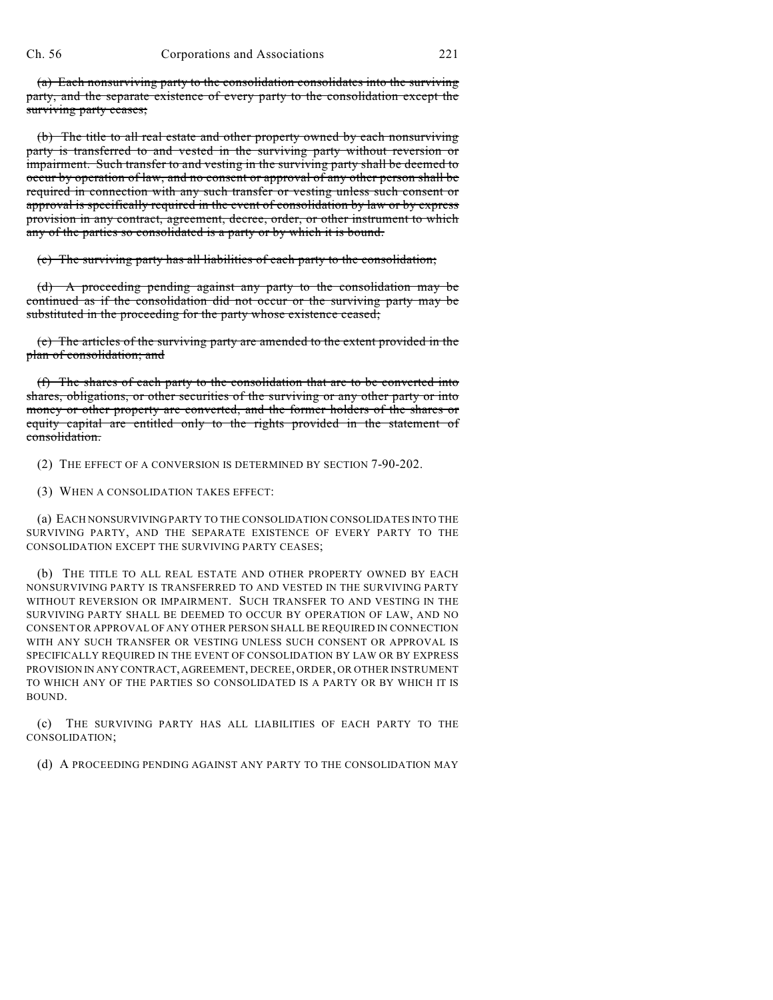(a) Each nonsurviving party to the consolidation consolidates into the surviving party, and the separate existence of every party to the consolidation except the surviving party ceases;

(b) The title to all real estate and other property owned by each nonsurviving party is transferred to and vested in the surviving party without reversion or impairment. Such transfer to and vesting in the surviving party shall be deemed to occur by operation of law, and no consent or approval of any other person shall be required in connection with any such transfer or vesting unless such consent or approval is specifically required in the event of consolidation by law or by express provision in any contract, agreement, decree, order, or other instrument to which any of the parties so consolidated is a party or by which it is bound.

(c) The surviving party has all liabilities of each party to the consolidation;

(d) A proceeding pending against any party to the consolidation may be continued as if the consolidation did not occur or the surviving party may be substituted in the proceeding for the party whose existence ceased;

(e) The articles of the surviving party are amended to the extent provided in the plan of consolidation; and

(f) The shares of each party to the consolidation that are to be converted into shares, obligations, or other securities of the surviving or any other party or into money or other property are converted, and the former holders of the shares or equity capital are entitled only to the rights provided in the statement of consolidation.

(2) THE EFFECT OF A CONVERSION IS DETERMINED BY SECTION 7-90-202.

(3) WHEN A CONSOLIDATION TAKES EFFECT:

(a) EACH NONSURVIVING PARTY TO THE CONSOLIDATION CONSOLIDATES INTO THE SURVIVING PARTY, AND THE SEPARATE EXISTENCE OF EVERY PARTY TO THE CONSOLIDATION EXCEPT THE SURVIVING PARTY CEASES;

(b) THE TITLE TO ALL REAL ESTATE AND OTHER PROPERTY OWNED BY EACH NONSURVIVING PARTY IS TRANSFERRED TO AND VESTED IN THE SURVIVING PARTY WITHOUT REVERSION OR IMPAIRMENT. SUCH TRANSFER TO AND VESTING IN THE SURVIVING PARTY SHALL BE DEEMED TO OCCUR BY OPERATION OF LAW, AND NO CONSENT OR APPROVAL OF ANY OTHER PERSON SHALL BE REQUIRED IN CONNECTION WITH ANY SUCH TRANSFER OR VESTING UNLESS SUCH CONSENT OR APPROVAL IS SPECIFICALLY REQUIRED IN THE EVENT OF CONSOLIDATION BY LAW OR BY EXPRESS PROVISION IN ANY CONTRACT, AGREEMENT, DECREE, ORDER, OR OTHER INSTRUMENT TO WHICH ANY OF THE PARTIES SO CONSOLIDATED IS A PARTY OR BY WHICH IT IS BOUND.

(c) THE SURVIVING PARTY HAS ALL LIABILITIES OF EACH PARTY TO THE CONSOLIDATION;

(d) A PROCEEDING PENDING AGAINST ANY PARTY TO THE CONSOLIDATION MAY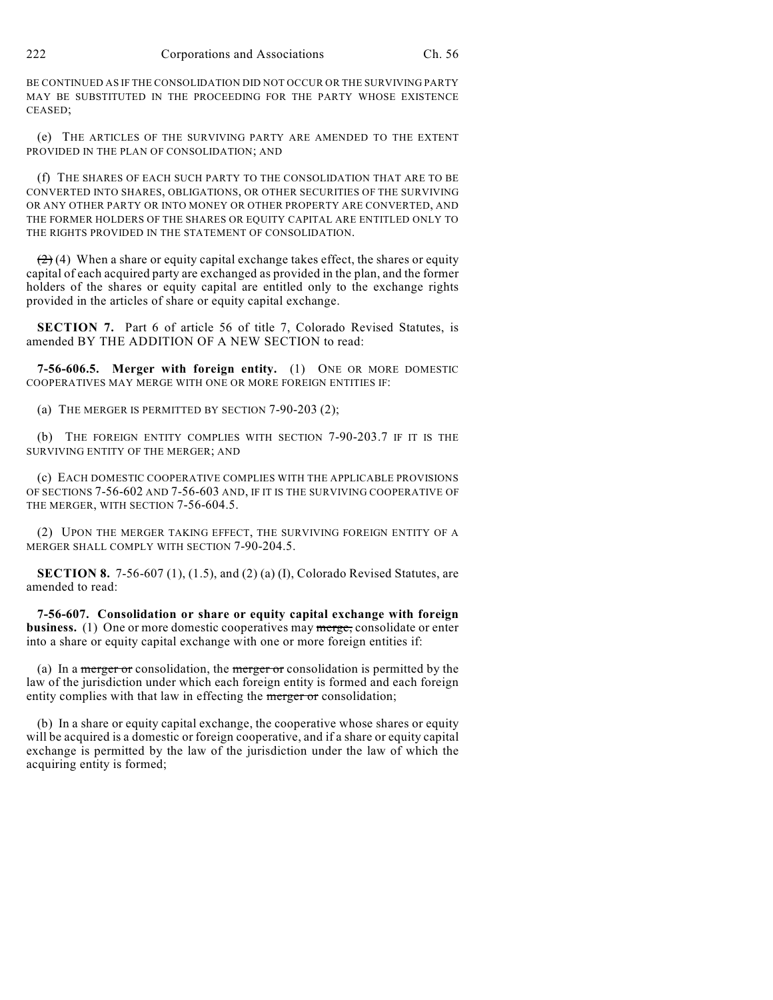BE CONTINUED AS IF THE CONSOLIDATION DID NOT OCCUR OR THE SURVIVING PARTY MAY BE SUBSTITUTED IN THE PROCEEDING FOR THE PARTY WHOSE EXISTENCE CEASED;

(e) THE ARTICLES OF THE SURVIVING PARTY ARE AMENDED TO THE EXTENT PROVIDED IN THE PLAN OF CONSOLIDATION; AND

(f) THE SHARES OF EACH SUCH PARTY TO THE CONSOLIDATION THAT ARE TO BE CONVERTED INTO SHARES, OBLIGATIONS, OR OTHER SECURITIES OF THE SURVIVING OR ANY OTHER PARTY OR INTO MONEY OR OTHER PROPERTY ARE CONVERTED, AND THE FORMER HOLDERS OF THE SHARES OR EQUITY CAPITAL ARE ENTITLED ONLY TO THE RIGHTS PROVIDED IN THE STATEMENT OF CONSOLIDATION.

 $(2)$  (4) When a share or equity capital exchange takes effect, the shares or equity capital of each acquired party are exchanged as provided in the plan, and the former holders of the shares or equity capital are entitled only to the exchange rights provided in the articles of share or equity capital exchange.

**SECTION 7.** Part 6 of article 56 of title 7, Colorado Revised Statutes, is amended BY THE ADDITION OF A NEW SECTION to read:

**7-56-606.5. Merger with foreign entity.** (1) ONE OR MORE DOMESTIC COOPERATIVES MAY MERGE WITH ONE OR MORE FOREIGN ENTITIES IF:

(a) THE MERGER IS PERMITTED BY SECTION 7-90-203 (2);

(b) THE FOREIGN ENTITY COMPLIES WITH SECTION 7-90-203.7 IF IT IS THE SURVIVING ENTITY OF THE MERGER; AND

(c) EACH DOMESTIC COOPERATIVE COMPLIES WITH THE APPLICABLE PROVISIONS OF SECTIONS 7-56-602 AND 7-56-603 AND, IF IT IS THE SURVIVING COOPERATIVE OF THE MERGER, WITH SECTION 7-56-604.5.

(2) UPON THE MERGER TAKING EFFECT, THE SURVIVING FOREIGN ENTITY OF A MERGER SHALL COMPLY WITH SECTION 7-90-204.5.

**SECTION 8.** 7-56-607 (1), (1.5), and (2) (a) (I), Colorado Revised Statutes, are amended to read:

**7-56-607. Consolidation or share or equity capital exchange with foreign business.** (1) One or more domestic cooperatives may merge, consolidate or enter into a share or equity capital exchange with one or more foreign entities if:

(a) In a merger or consolidation, the merger or consolidation is permitted by the law of the jurisdiction under which each foreign entity is formed and each foreign entity complies with that law in effecting the merger or consolidation;

(b) In a share or equity capital exchange, the cooperative whose shares or equity will be acquired is a domestic or foreign cooperative, and if a share or equity capital exchange is permitted by the law of the jurisdiction under the law of which the acquiring entity is formed;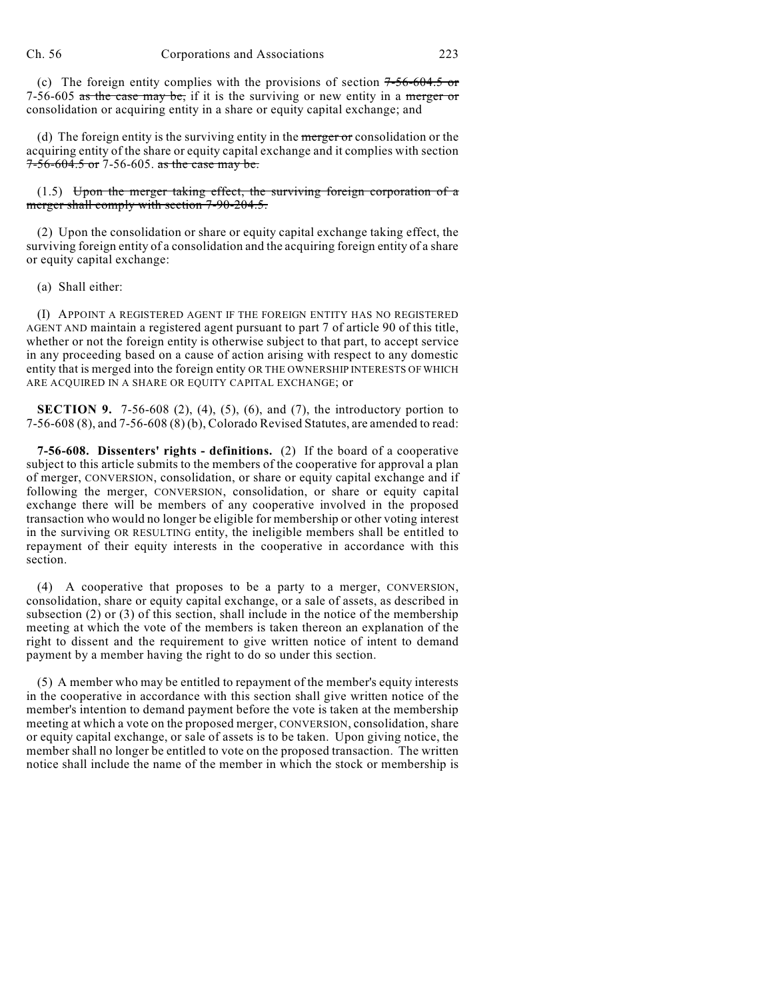(c) The foreign entity complies with the provisions of section  $7-56-604.5$  or 7-56-605 as the case may be, if it is the surviving or new entity in a merger or consolidation or acquiring entity in a share or equity capital exchange; and

(d) The foreign entity is the surviving entity in the merger or consolidation or the acquiring entity of the share or equity capital exchange and it complies with section 7-56-604.5 or 7-56-605. as the case may be.

 $(1.5)$  Upon the merger taking effect, the surviving foreign corporation of a merger shall comply with section 7-90-204.5.

(2) Upon the consolidation or share or equity capital exchange taking effect, the surviving foreign entity of a consolidation and the acquiring foreign entity of a share or equity capital exchange:

(a) Shall either:

(I) APPOINT A REGISTERED AGENT IF THE FOREIGN ENTITY HAS NO REGISTERED AGENT AND maintain a registered agent pursuant to part 7 of article 90 of this title, whether or not the foreign entity is otherwise subject to that part, to accept service in any proceeding based on a cause of action arising with respect to any domestic entity that is merged into the foreign entity OR THE OWNERSHIP INTERESTS OF WHICH ARE ACQUIRED IN A SHARE OR EQUITY CAPITAL EXCHANGE; or

**SECTION 9.** 7-56-608 (2), (4), (5), (6), and (7), the introductory portion to 7-56-608 (8), and 7-56-608 (8) (b), Colorado Revised Statutes, are amended to read:

**7-56-608. Dissenters' rights - definitions.** (2) If the board of a cooperative subject to this article submits to the members of the cooperative for approval a plan of merger, CONVERSION, consolidation, or share or equity capital exchange and if following the merger, CONVERSION, consolidation, or share or equity capital exchange there will be members of any cooperative involved in the proposed transaction who would no longer be eligible for membership or other voting interest in the surviving OR RESULTING entity, the ineligible members shall be entitled to repayment of their equity interests in the cooperative in accordance with this section.

(4) A cooperative that proposes to be a party to a merger, CONVERSION, consolidation, share or equity capital exchange, or a sale of assets, as described in subsection (2) or (3) of this section, shall include in the notice of the membership meeting at which the vote of the members is taken thereon an explanation of the right to dissent and the requirement to give written notice of intent to demand payment by a member having the right to do so under this section.

(5) A member who may be entitled to repayment of the member's equity interests in the cooperative in accordance with this section shall give written notice of the member's intention to demand payment before the vote is taken at the membership meeting at which a vote on the proposed merger, CONVERSION, consolidation, share or equity capital exchange, or sale of assets is to be taken. Upon giving notice, the member shall no longer be entitled to vote on the proposed transaction. The written notice shall include the name of the member in which the stock or membership is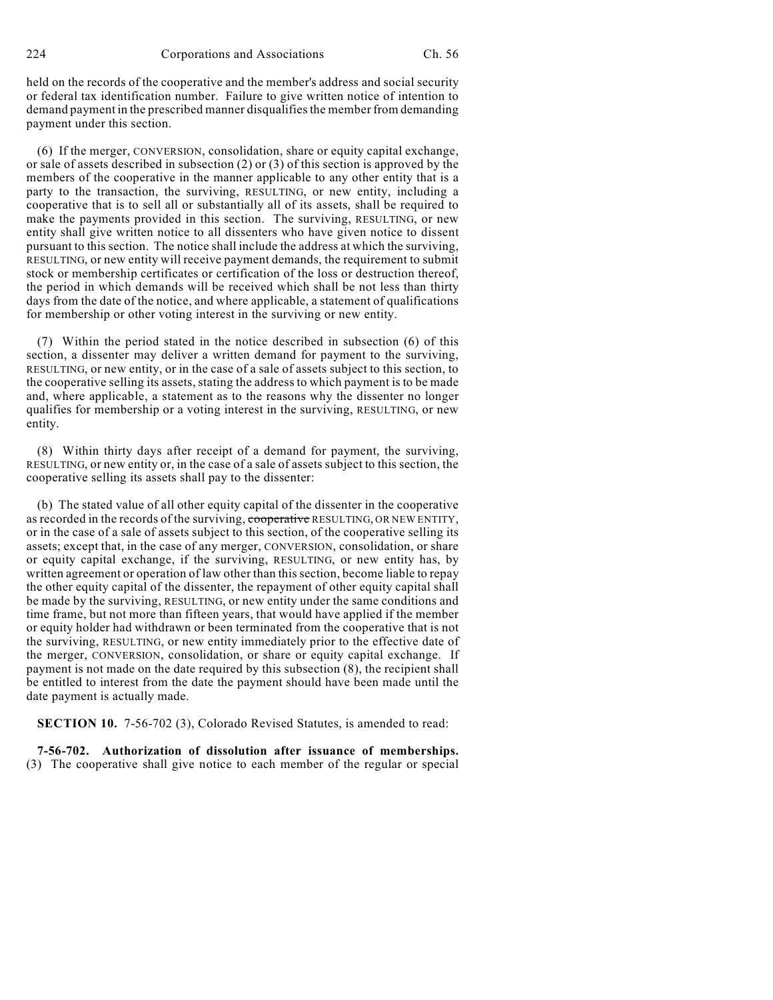held on the records of the cooperative and the member's address and social security or federal tax identification number. Failure to give written notice of intention to demand payment in the prescribed manner disqualifies the member from demanding payment under this section.

(6) If the merger, CONVERSION, consolidation, share or equity capital exchange, or sale of assets described in subsection (2) or (3) of this section is approved by the members of the cooperative in the manner applicable to any other entity that is a party to the transaction, the surviving, RESULTING, or new entity, including a cooperative that is to sell all or substantially all of its assets, shall be required to make the payments provided in this section. The surviving, RESULTING, or new entity shall give written notice to all dissenters who have given notice to dissent pursuant to this section. The notice shall include the address at which the surviving, RESULTING, or new entity will receive payment demands, the requirement to submit stock or membership certificates or certification of the loss or destruction thereof, the period in which demands will be received which shall be not less than thirty days from the date of the notice, and where applicable, a statement of qualifications for membership or other voting interest in the surviving or new entity.

(7) Within the period stated in the notice described in subsection (6) of this section, a dissenter may deliver a written demand for payment to the surviving, RESULTING, or new entity, or in the case of a sale of assets subject to this section, to the cooperative selling its assets, stating the address to which payment is to be made and, where applicable, a statement as to the reasons why the dissenter no longer qualifies for membership or a voting interest in the surviving, RESULTING, or new entity.

(8) Within thirty days after receipt of a demand for payment, the surviving, RESULTING, or new entity or, in the case of a sale of assets subject to this section, the cooperative selling its assets shall pay to the dissenter:

(b) The stated value of all other equity capital of the dissenter in the cooperative as recorded in the records of the surviving, cooperative RESULTING, OR NEW ENTITY, or in the case of a sale of assets subject to this section, of the cooperative selling its assets; except that, in the case of any merger, CONVERSION, consolidation, or share or equity capital exchange, if the surviving, RESULTING, or new entity has, by written agreement or operation of law other than this section, become liable to repay the other equity capital of the dissenter, the repayment of other equity capital shall be made by the surviving, RESULTING, or new entity under the same conditions and time frame, but not more than fifteen years, that would have applied if the member or equity holder had withdrawn or been terminated from the cooperative that is not the surviving, RESULTING, or new entity immediately prior to the effective date of the merger, CONVERSION, consolidation, or share or equity capital exchange. If payment is not made on the date required by this subsection (8), the recipient shall be entitled to interest from the date the payment should have been made until the date payment is actually made.

**SECTION 10.** 7-56-702 (3), Colorado Revised Statutes, is amended to read:

**7-56-702. Authorization of dissolution after issuance of memberships.** (3) The cooperative shall give notice to each member of the regular or special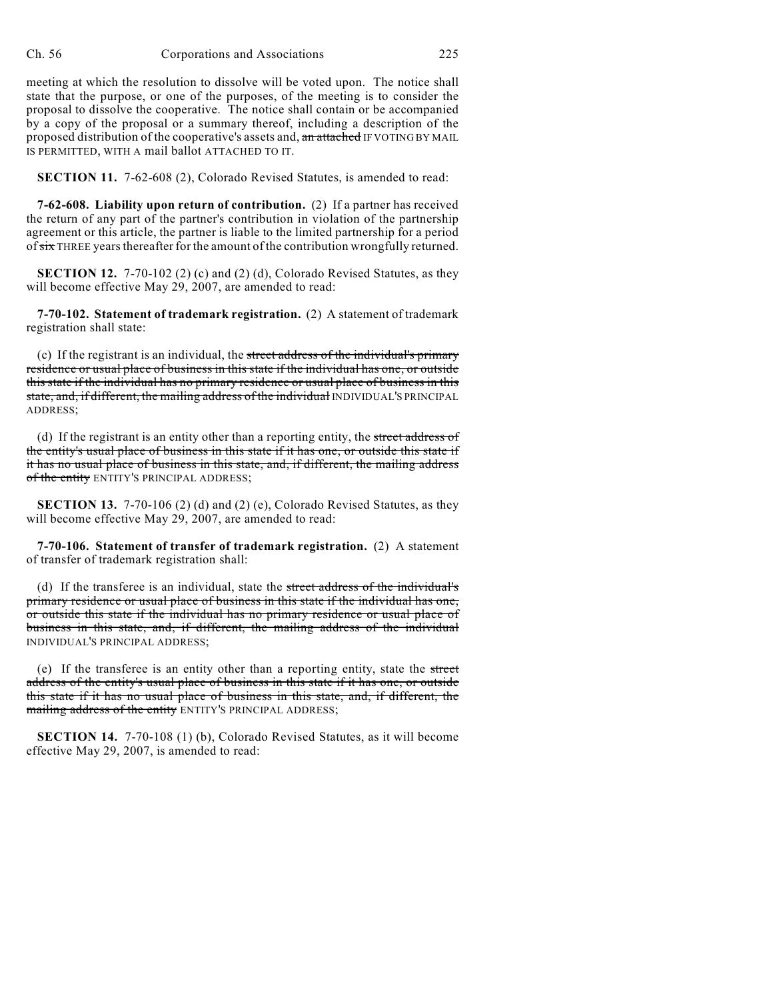meeting at which the resolution to dissolve will be voted upon. The notice shall state that the purpose, or one of the purposes, of the meeting is to consider the proposal to dissolve the cooperative. The notice shall contain or be accompanied by a copy of the proposal or a summary thereof, including a description of the proposed distribution of the cooperative's assets and, an attached IF VOTING BY MAIL IS PERMITTED, WITH A mail ballot ATTACHED TO IT.

**SECTION 11.** 7-62-608 (2), Colorado Revised Statutes, is amended to read:

**7-62-608. Liability upon return of contribution.** (2) If a partner has received the return of any part of the partner's contribution in violation of the partnership agreement or this article, the partner is liable to the limited partnership for a period of six THREE years thereafter for the amount of the contribution wrongfully returned.

**SECTION 12.** 7-70-102 (2) (c) and (2) (d), Colorado Revised Statutes, as they will become effective May 29, 2007, are amended to read:

**7-70-102. Statement of trademark registration.** (2) A statement of trademark registration shall state:

(c) If the registrant is an individual, the street address of the individual's primary residence or usual place of business in this state if the individual has one, or outside this state if the individual has no primary residence or usual place of business in this state, and, if different, the mailing address of the individual INDIVIDUAL'S PRINCIPAL ADDRESS;

(d) If the registrant is an entity other than a reporting entity, the street address of the entity's usual place of business in this state if it has one, or outside this state if it has no usual place of business in this state, and, if different, the mailing address of the entity ENTITY'S PRINCIPAL ADDRESS;

**SECTION 13.** 7-70-106 (2) (d) and (2) (e), Colorado Revised Statutes, as they will become effective May 29, 2007, are amended to read:

**7-70-106. Statement of transfer of trademark registration.** (2) A statement of transfer of trademark registration shall:

(d) If the transferee is an individual, state the street address of the individual's primary residence or usual place of business in this state if the individual has one, or outside this state if the individual has no primary residence or usual place of business in this state, and, if different, the mailing address of the individual INDIVIDUAL'S PRINCIPAL ADDRESS;

(e) If the transferee is an entity other than a reporting entity, state the street address of the entity's usual place of business in this state if it has one, or outside this state if it has no usual place of business in this state, and, if different, the mailing address of the entity ENTITY'S PRINCIPAL ADDRESS;

**SECTION 14.** 7-70-108 (1) (b), Colorado Revised Statutes, as it will become effective May 29, 2007, is amended to read: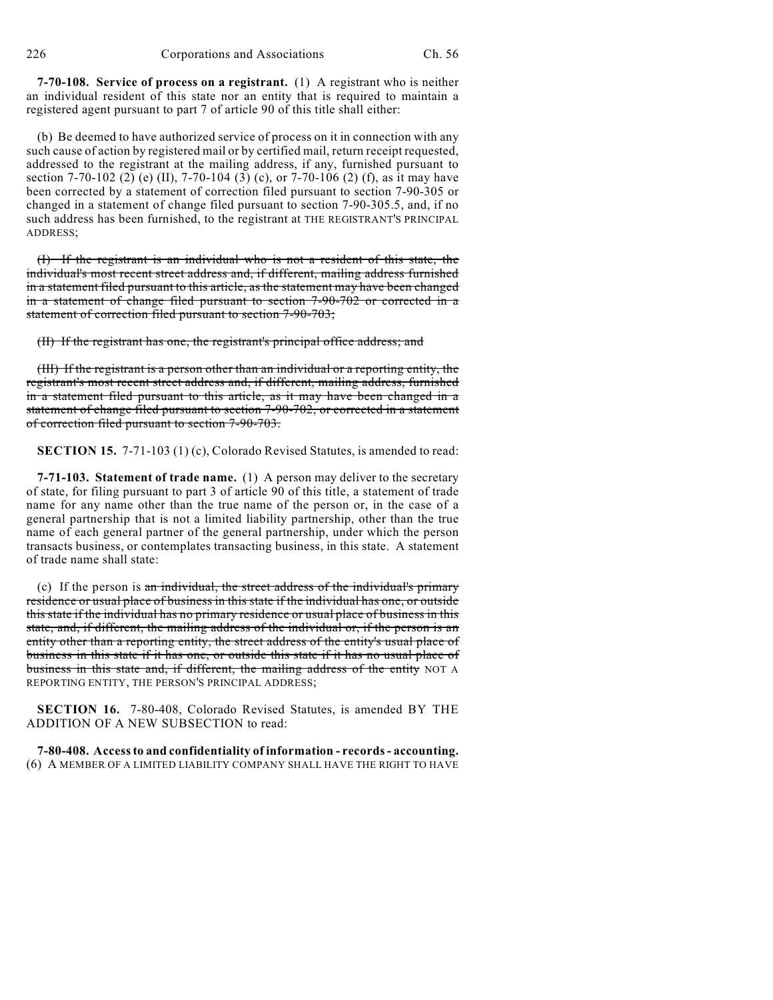**7-70-108. Service of process on a registrant.** (1) A registrant who is neither an individual resident of this state nor an entity that is required to maintain a registered agent pursuant to part 7 of article 90 of this title shall either:

(b) Be deemed to have authorized service of process on it in connection with any such cause of action by registered mail or by certified mail, return receipt requested, addressed to the registrant at the mailing address, if any, furnished pursuant to section 7-70-102 (2) (e) (II), 7-70-104 (3) (c), or 7-70-106 (2) (f), as it may have been corrected by a statement of correction filed pursuant to section 7-90-305 or changed in a statement of change filed pursuant to section 7-90-305.5, and, if no such address has been furnished, to the registrant at THE REGISTRANT'S PRINCIPAL ADDRESS;

(I) If the registrant is an individual who is not a resident of this state, the individual's most recent street address and, if different, mailing address furnished in a statement filed pursuant to this article, as the statement may have been changed in a statement of change filed pursuant to section 7-90-702 or corrected in a statement of correction filed pursuant to section 7-90-703;

(II) If the registrant has one, the registrant's principal office address; and

(III) If the registrant is a person other than an individual or a reporting entity, the registrant's most recent street address and, if different, mailing address, furnished in a statement filed pursuant to this article, as it may have been changed in a statement of change filed pursuant to section 7-90-702, or corrected in a statement of correction filed pursuant to section 7-90-703.

**SECTION 15.** 7-71-103 (1) (c), Colorado Revised Statutes, is amended to read:

**7-71-103. Statement of trade name.** (1) A person may deliver to the secretary of state, for filing pursuant to part 3 of article 90 of this title, a statement of trade name for any name other than the true name of the person or, in the case of a general partnership that is not a limited liability partnership, other than the true name of each general partner of the general partnership, under which the person transacts business, or contemplates transacting business, in this state. A statement of trade name shall state:

(c) If the person is an individual, the street address of the individual's primary residence or usual place of business in this state if the individual has one, or outside this state if the individual has no primary residence or usual place of business in this state, and, if different, the mailing address of the individual or, if the person is an entity other than a reporting entity, the street address of the entity's usual place of business in this state if it has one, or outside this state if it has no usual place of business in this state and, if different, the mailing address of the entity NOT A REPORTING ENTITY, THE PERSON'S PRINCIPAL ADDRESS;

**SECTION 16.** 7-80-408, Colorado Revised Statutes, is amended BY THE ADDITION OF A NEW SUBSECTION to read:

**7-80-408. Access to and confidentiality of information - records - accounting.** (6) A MEMBER OF A LIMITED LIABILITY COMPANY SHALL HAVE THE RIGHT TO HAVE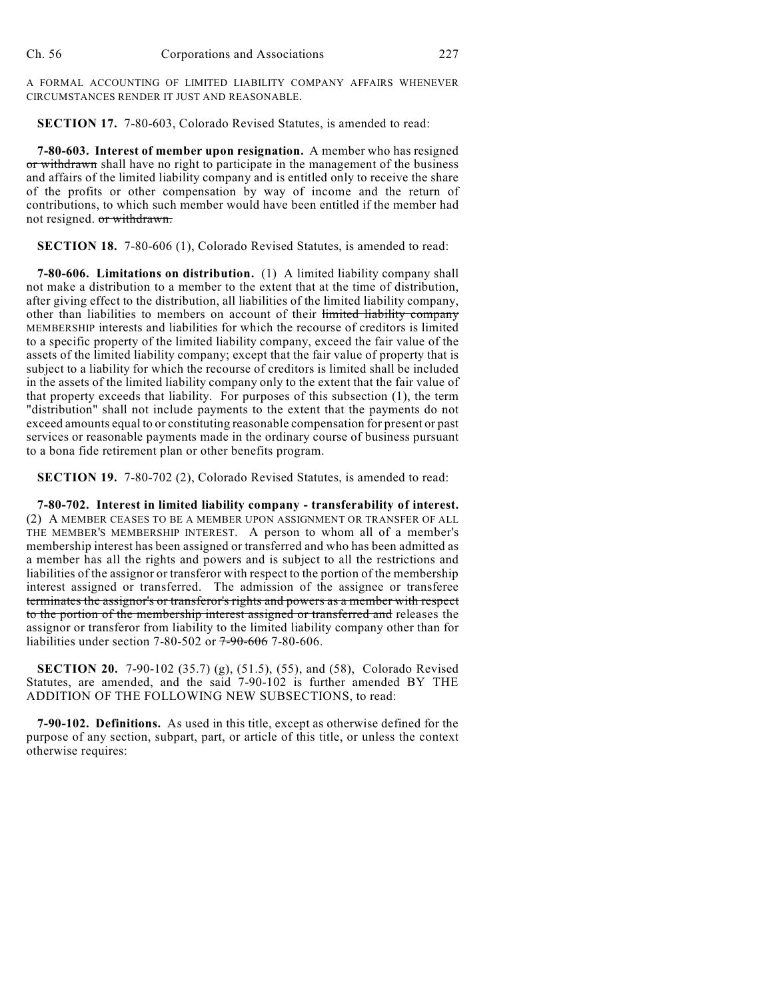A FORMAL ACCOUNTING OF LIMITED LIABILITY COMPANY AFFAIRS WHENEVER CIRCUMSTANCES RENDER IT JUST AND REASONABLE.

**SECTION 17.** 7-80-603, Colorado Revised Statutes, is amended to read:

**7-80-603. Interest of member upon resignation.** A member who has resigned or withdrawn shall have no right to participate in the management of the business and affairs of the limited liability company and is entitled only to receive the share of the profits or other compensation by way of income and the return of contributions, to which such member would have been entitled if the member had not resigned. or withdrawn.

**SECTION 18.** 7-80-606 (1), Colorado Revised Statutes, is amended to read:

**7-80-606. Limitations on distribution.** (1) A limited liability company shall not make a distribution to a member to the extent that at the time of distribution, after giving effect to the distribution, all liabilities of the limited liability company, other than liabilities to members on account of their limited liability company MEMBERSHIP interests and liabilities for which the recourse of creditors is limited to a specific property of the limited liability company, exceed the fair value of the assets of the limited liability company; except that the fair value of property that is subject to a liability for which the recourse of creditors is limited shall be included in the assets of the limited liability company only to the extent that the fair value of that property exceeds that liability. For purposes of this subsection (1), the term "distribution" shall not include payments to the extent that the payments do not exceed amounts equal to or constituting reasonable compensation for present or past services or reasonable payments made in the ordinary course of business pursuant to a bona fide retirement plan or other benefits program.

**SECTION 19.** 7-80-702 (2), Colorado Revised Statutes, is amended to read:

**7-80-702. Interest in limited liability company - transferability of interest.** (2) A MEMBER CEASES TO BE A MEMBER UPON ASSIGNMENT OR TRANSFER OF ALL THE MEMBER'S MEMBERSHIP INTEREST. A person to whom all of a member's membership interest has been assigned or transferred and who has been admitted as a member has all the rights and powers and is subject to all the restrictions and liabilities of the assignor or transferor with respect to the portion of the membership interest assigned or transferred. The admission of the assignee or transferee terminates the assignor's or transferor's rights and powers as a member with respect to the portion of the membership interest assigned or transferred and releases the assignor or transferor from liability to the limited liability company other than for liabilities under section 7-80-502 or 7-90-606 7-80-606.

**SECTION 20.** 7-90-102 (35.7) (g), (51.5), (55), and (58), Colorado Revised Statutes, are amended, and the said 7-90-102 is further amended BY THE ADDITION OF THE FOLLOWING NEW SUBSECTIONS, to read:

**7-90-102. Definitions.** As used in this title, except as otherwise defined for the purpose of any section, subpart, part, or article of this title, or unless the context otherwise requires: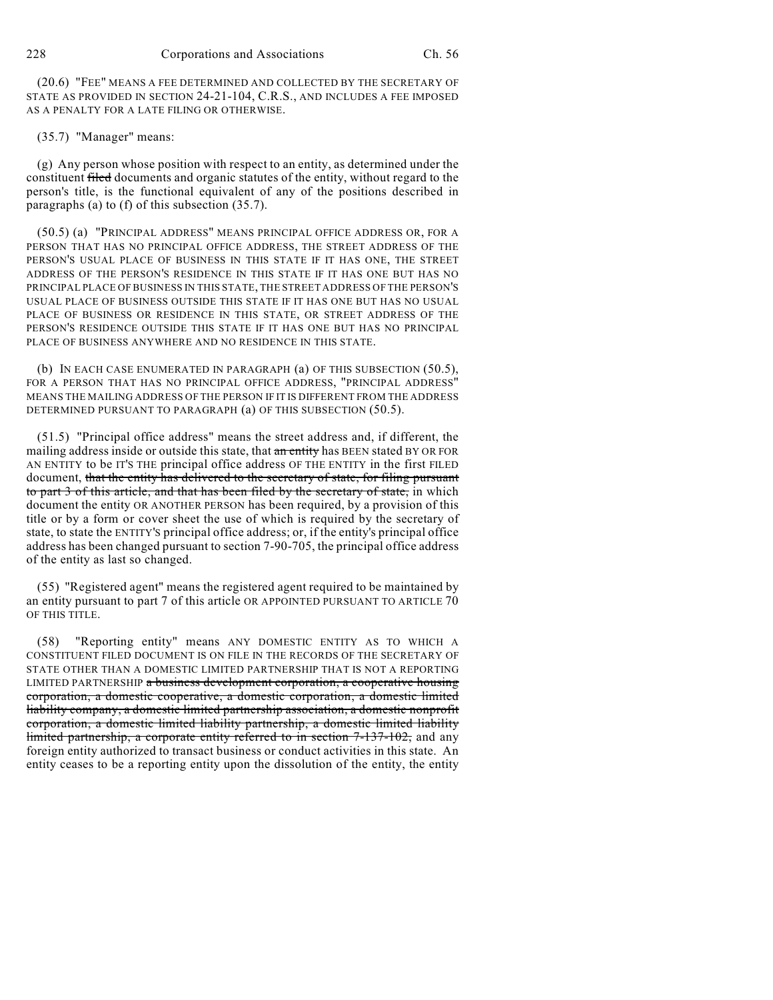(20.6) "FEE" MEANS A FEE DETERMINED AND COLLECTED BY THE SECRETARY OF STATE AS PROVIDED IN SECTION 24-21-104, C.R.S., AND INCLUDES A FEE IMPOSED AS A PENALTY FOR A LATE FILING OR OTHERWISE.

## (35.7) "Manager" means:

(g) Any person whose position with respect to an entity, as determined under the constituent filed documents and organic statutes of the entity, without regard to the person's title, is the functional equivalent of any of the positions described in paragraphs (a) to (f) of this subsection (35.7).

(50.5) (a) "PRINCIPAL ADDRESS" MEANS PRINCIPAL OFFICE ADDRESS OR, FOR A PERSON THAT HAS NO PRINCIPAL OFFICE ADDRESS, THE STREET ADDRESS OF THE PERSON'S USUAL PLACE OF BUSINESS IN THIS STATE IF IT HAS ONE, THE STREET ADDRESS OF THE PERSON'S RESIDENCE IN THIS STATE IF IT HAS ONE BUT HAS NO PRINCIPAL PLACE OF BUSINESS IN THIS STATE, THE STREET ADDRESS OF THE PERSON'S USUAL PLACE OF BUSINESS OUTSIDE THIS STATE IF IT HAS ONE BUT HAS NO USUAL PLACE OF BUSINESS OR RESIDENCE IN THIS STATE, OR STREET ADDRESS OF THE PERSON'S RESIDENCE OUTSIDE THIS STATE IF IT HAS ONE BUT HAS NO PRINCIPAL PLACE OF BUSINESS ANYWHERE AND NO RESIDENCE IN THIS STATE.

(b) IN EACH CASE ENUMERATED IN PARAGRAPH (a) OF THIS SUBSECTION (50.5), FOR A PERSON THAT HAS NO PRINCIPAL OFFICE ADDRESS, "PRINCIPAL ADDRESS" MEANS THE MAILING ADDRESS OF THE PERSON IF IT IS DIFFERENT FROM THE ADDRESS DETERMINED PURSUANT TO PARAGRAPH (a) OF THIS SUBSECTION (50.5).

(51.5) "Principal office address" means the street address and, if different, the mailing address inside or outside this state, that an entity has BEEN stated BY OR FOR AN ENTITY to be IT'S THE principal office address OF THE ENTITY in the first FILED document, that the entity has delivered to the secretary of state, for filing pursuant to part 3 of this article, and that has been filed by the secretary of state, in which document the entity OR ANOTHER PERSON has been required, by a provision of this title or by a form or cover sheet the use of which is required by the secretary of state, to state the ENTITY'S principal office address; or, if the entity's principal office address has been changed pursuant to section 7-90-705, the principal office address of the entity as last so changed.

(55) "Registered agent" means the registered agent required to be maintained by an entity pursuant to part 7 of this article OR APPOINTED PURSUANT TO ARTICLE 70 OF THIS TITLE.

(58) "Reporting entity" means ANY DOMESTIC ENTITY AS TO WHICH A CONSTITUENT FILED DOCUMENT IS ON FILE IN THE RECORDS OF THE SECRETARY OF STATE OTHER THAN A DOMESTIC LIMITED PARTNERSHIP THAT IS NOT A REPORTING LIMITED PARTNERSHIP a business development corporation, a cooperative housing corporation, a domestic cooperative, a domestic corporation, a domestic limited liability company, a domestic limited partnership association, a domestic nonprofit corporation, a domestic limited liability partnership, a domestic limited liability limited partnership, a corporate entity referred to in section 7-137-102, and any foreign entity authorized to transact business or conduct activities in this state. An entity ceases to be a reporting entity upon the dissolution of the entity, the entity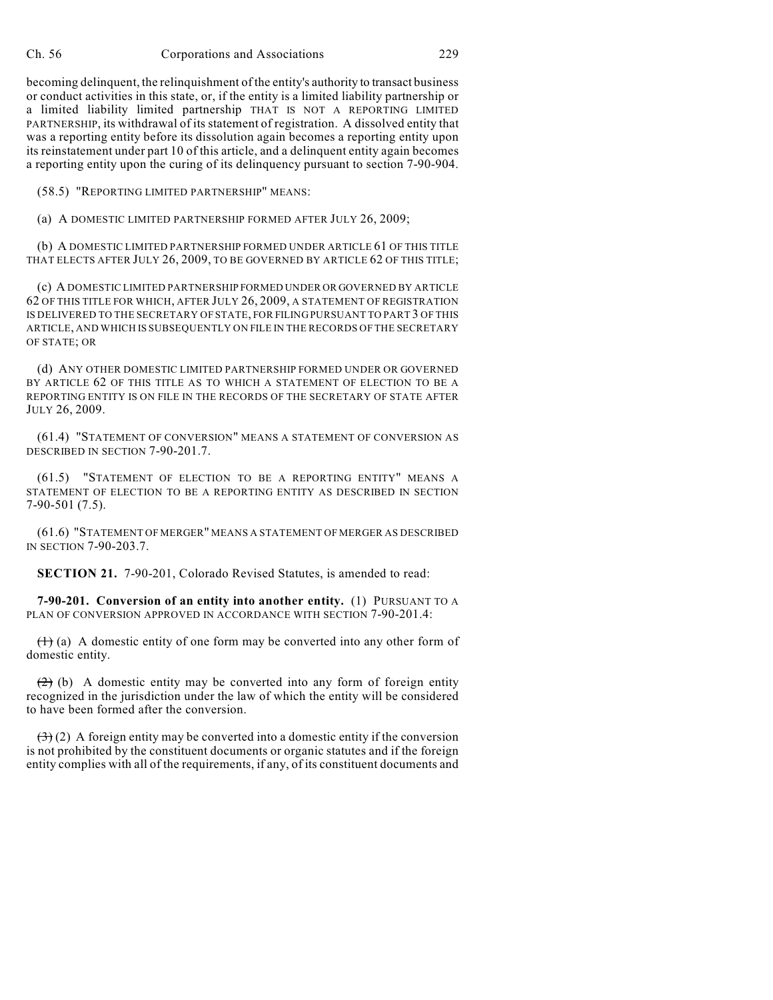becoming delinquent, the relinquishment of the entity's authority to transact business or conduct activities in this state, or, if the entity is a limited liability partnership or a limited liability limited partnership THAT IS NOT A REPORTING LIMITED PARTNERSHIP, its withdrawal of its statement of registration. A dissolved entity that was a reporting entity before its dissolution again becomes a reporting entity upon its reinstatement under part 10 of this article, and a delinquent entity again becomes a reporting entity upon the curing of its delinquency pursuant to section 7-90-904.

(58.5) "REPORTING LIMITED PARTNERSHIP" MEANS:

(a) A DOMESTIC LIMITED PARTNERSHIP FORMED AFTER JULY 26, 2009;

(b) A DOMESTIC LIMITED PARTNERSHIP FORMED UNDER ARTICLE 61 OF THIS TITLE THAT ELECTS AFTER JULY 26, 2009, TO BE GOVERNED BY ARTICLE 62 OF THIS TITLE;

(c) A DOMESTIC LIMITED PARTNERSHIP FORMED UNDER OR GOVERNED BY ARTICLE 62 OF THIS TITLE FOR WHICH, AFTER JULY 26, 2009, A STATEMENT OF REGISTRATION IS DELIVERED TO THE SECRETARY OF STATE, FOR FILING PURSUANT TO PART 3 OF THIS ARTICLE, AND WHICH IS SUBSEQUENTLY ON FILE IN THE RECORDS OF THE SECRETARY OF STATE; OR

(d) ANY OTHER DOMESTIC LIMITED PARTNERSHIP FORMED UNDER OR GOVERNED BY ARTICLE 62 OF THIS TITLE AS TO WHICH A STATEMENT OF ELECTION TO BE A REPORTING ENTITY IS ON FILE IN THE RECORDS OF THE SECRETARY OF STATE AFTER JULY 26, 2009.

(61.4) "STATEMENT OF CONVERSION" MEANS A STATEMENT OF CONVERSION AS DESCRIBED IN SECTION 7-90-201.7.

(61.5) "STATEMENT OF ELECTION TO BE A REPORTING ENTITY" MEANS A STATEMENT OF ELECTION TO BE A REPORTING ENTITY AS DESCRIBED IN SECTION 7-90-501 (7.5).

(61.6) "STATEMENT OF MERGER" MEANS A STATEMENT OF MERGER AS DESCRIBED IN SECTION 7-90-203.7.

**SECTION 21.** 7-90-201, Colorado Revised Statutes, is amended to read:

**7-90-201. Conversion of an entity into another entity.** (1) PURSUANT TO A PLAN OF CONVERSION APPROVED IN ACCORDANCE WITH SECTION 7-90-201.4:

 $(1)$  (a) A domestic entity of one form may be converted into any other form of domestic entity.

 $(2)$  (b) A domestic entity may be converted into any form of foreign entity recognized in the jurisdiction under the law of which the entity will be considered to have been formed after the conversion.

 $(3)(2)$  A foreign entity may be converted into a domestic entity if the conversion is not prohibited by the constituent documents or organic statutes and if the foreign entity complies with all of the requirements, if any, of its constituent documents and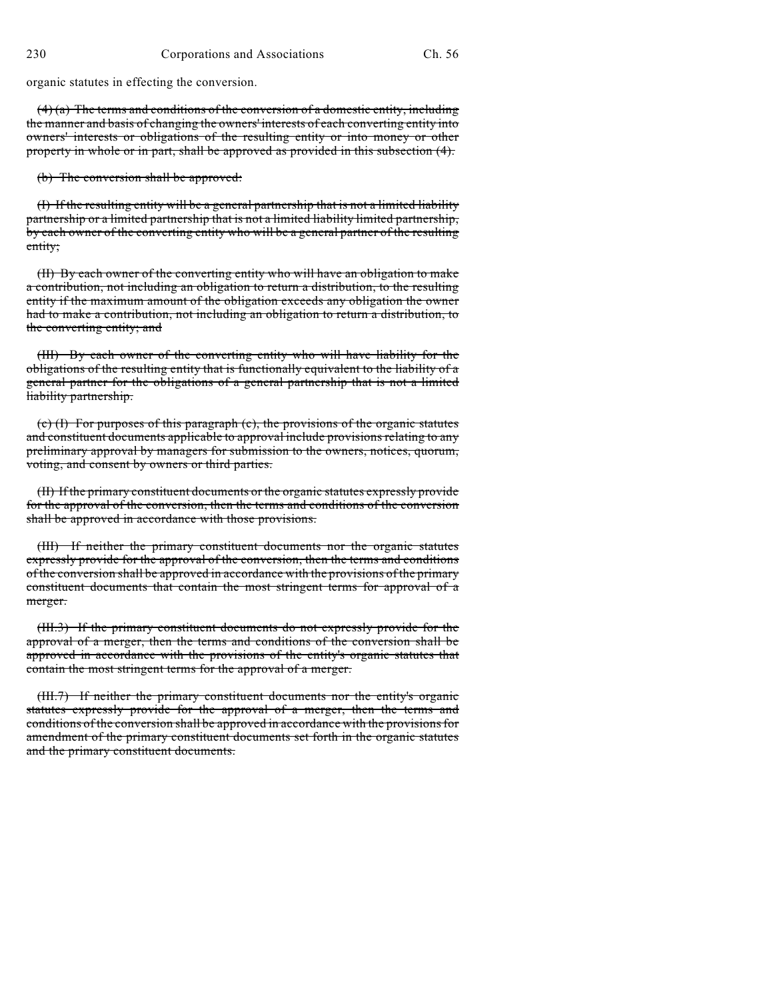organic statutes in effecting the conversion.

 $(4)$  (a) The terms and conditions of the conversion of a domestic entity, including the manner and basis of changing the owners' interests of each converting entity into owners' interests or obligations of the resulting entity or into money or other property in whole or in part, shall be approved as provided in this subsection (4).

(b) The conversion shall be approved:

(I) If the resulting entity will be a general partnership that is not a limited liability partnership or a limited partnership that is not a limited liability limited partnership, by each owner of the converting entity who will be a general partner of the resulting entity;

(II) By each owner of the converting entity who will have an obligation to make a contribution, not including an obligation to return a distribution, to the resulting entity if the maximum amount of the obligation exceeds any obligation the owner had to make a contribution, not including an obligation to return a distribution, to the converting entity; and

(III) By each owner of the converting entity who will have liability for the obligations of the resulting entity that is functionally equivalent to the liability of a general partner for the obligations of a general partnership that is not a limited liability partnership.

(c) (I) For purposes of this paragraph (c), the provisions of the organic statutes and constituent documents applicable to approval include provisions relating to any preliminary approval by managers for submission to the owners, notices, quorum, voting, and consent by owners or third parties.

(II) If the primary constituent documents or the organic statutes expressly provide for the approval of the conversion, then the terms and conditions of the conversion shall be approved in accordance with those provisions.

(III) If neither the primary constituent documents nor the organic statutes expressly provide for the approval of the conversion, then the terms and conditions of the conversion shall be approved in accordance with the provisions of the primary constituent documents that contain the most stringent terms for approval of a merger.

(III.3) If the primary constituent documents do not expressly provide for the approval of a merger, then the terms and conditions of the conversion shall be approved in accordance with the provisions of the entity's organic statutes that contain the most stringent terms for the approval of a merger.

(III.7) If neither the primary constituent documents nor the entity's organic statutes expressly provide for the approval of a merger, then the terms and conditions of the conversion shall be approved in accordance with the provisions for amendment of the primary constituent documents set forth in the organic statutes and the primary constituent documents.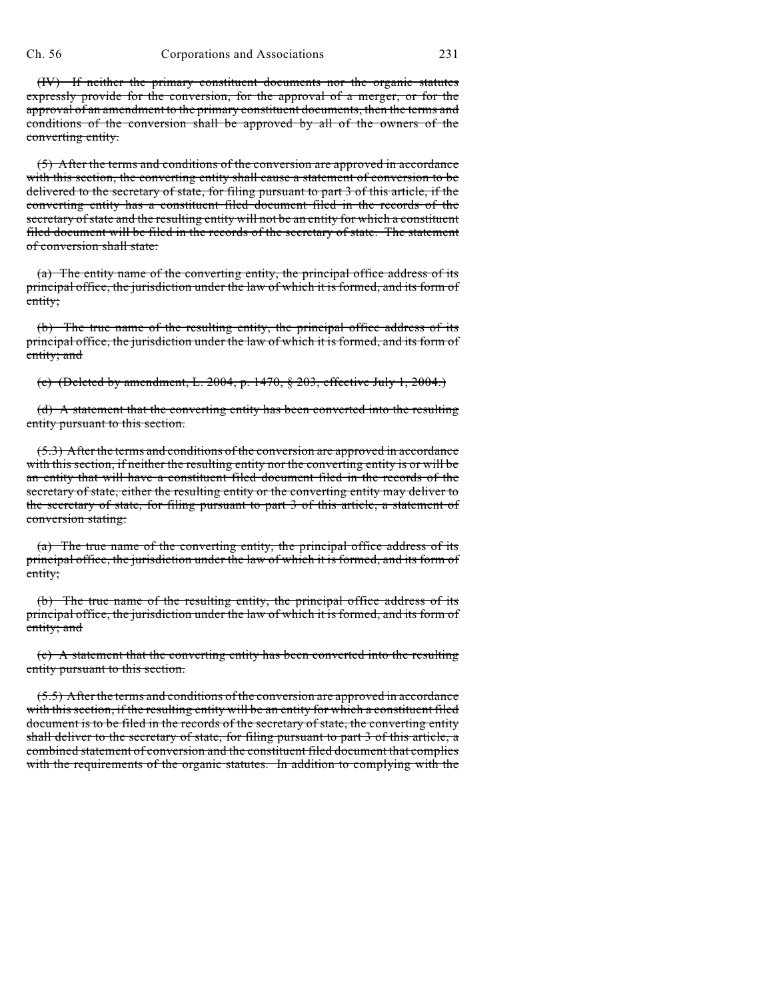(IV) If neither the primary constituent documents nor the organic statutes expressly provide for the conversion, for the approval of a merger, or for the approval of an amendment to the primary constituent documents, then the terms and conditions of the conversion shall be approved by all of the owners of the converting entity.

(5) After the terms and conditions of the conversion are approved in accordance with this section, the converting entity shall cause a statement of conversion to be delivered to the secretary of state, for filing pursuant to part 3 of this article, if the converting entity has a constituent filed document filed in the records of the secretary of state and the resulting entity will not be an entity for which a constituent filed document will be filed in the records of the secretary of state. The statement of conversion shall state:

(a) The entity name of the converting entity, the principal office address of its principal office, the jurisdiction under the law of which it is formed, and its form of entity;

(b) The true name of the resulting entity, the principal office address of its principal office, the jurisdiction under the law of which it is formed, and its form of entity; and

(c) (Deleted by amendment, L. 2004, p. 1470, § 203, effective July 1, 2004.)

(d) A statement that the converting entity has been converted into the resulting entity pursuant to this section.

(5.3) After the terms and conditions of the conversion are approved in accordance with this section, if neither the resulting entity nor the converting entity is or will be an entity that will have a constituent filed document filed in the records of the secretary of state, either the resulting entity or the converting entity may deliver to the secretary of state, for filing pursuant to part 3 of this article, a statement of conversion stating:

(a) The true name of the converting entity, the principal office address of its principal office, the jurisdiction under the law of which it is formed, and its form of entity;

(b) The true name of the resulting entity, the principal office address of its principal office, the jurisdiction under the law of which it is formed, and its form of entity; and

(c) A statement that the converting entity has been converted into the resulting entity pursuant to this section.

(5.5) After the terms and conditions of the conversion are approved in accordance with this section, if the resulting entity will be an entity for which a constituent filed document is to be filed in the records of the secretary of state, the converting entity shall deliver to the secretary of state, for filing pursuant to part 3 of this article, a combined statement of conversion and the constituent filed document that complies with the requirements of the organic statutes. In addition to complying with the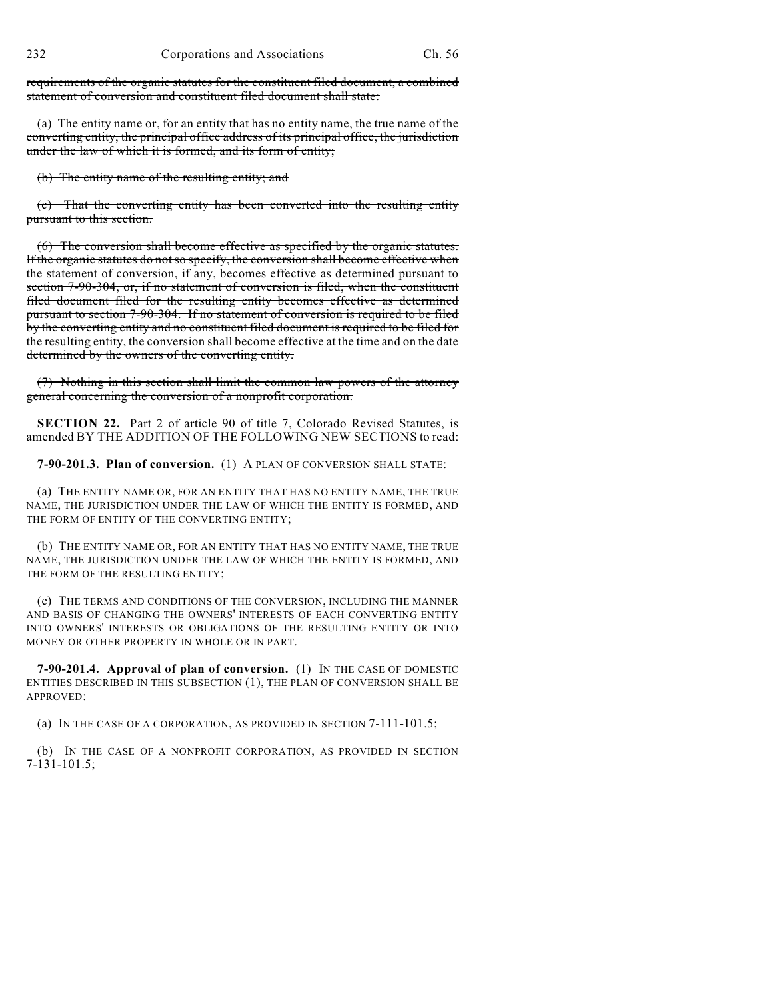requirements of the organic statutes for the constituent filed document, a combined statement of conversion and constituent filed document shall state:

(a) The entity name or, for an entity that has no entity name, the true name of the converting entity, the principal office address of its principal office, the jurisdiction under the law of which it is formed, and its form of entity;

(b) The entity name of the resulting entity; and

(c) That the converting entity has been converted into the resulting entity pursuant to this section.

(6) The conversion shall become effective as specified by the organic statutes. If the organic statutes do notso specify, the conversion shall become effective when the statement of conversion, if any, becomes effective as determined pursuant to section 7-90-304, or, if no statement of conversion is filed, when the constituent filed document filed for the resulting entity becomes effective as determined pursuant to section 7-90-304. If no statement of conversion is required to be filed by the converting entity and no constituent filed document is required to be filed for the resulting entity, the conversion shall become effective at the time and on the date determined by the owners of the converting entity.

(7) Nothing in this section shall limit the common law powers of the attorney general concerning the conversion of a nonprofit corporation.

**SECTION 22.** Part 2 of article 90 of title 7, Colorado Revised Statutes, is amended BY THE ADDITION OF THE FOLLOWING NEW SECTIONS to read:

**7-90-201.3. Plan of conversion.** (1) A PLAN OF CONVERSION SHALL STATE:

(a) THE ENTITY NAME OR, FOR AN ENTITY THAT HAS NO ENTITY NAME, THE TRUE NAME, THE JURISDICTION UNDER THE LAW OF WHICH THE ENTITY IS FORMED, AND THE FORM OF ENTITY OF THE CONVERTING ENTITY;

(b) THE ENTITY NAME OR, FOR AN ENTITY THAT HAS NO ENTITY NAME, THE TRUE NAME, THE JURISDICTION UNDER THE LAW OF WHICH THE ENTITY IS FORMED, AND THE FORM OF THE RESULTING ENTITY;

(c) THE TERMS AND CONDITIONS OF THE CONVERSION, INCLUDING THE MANNER AND BASIS OF CHANGING THE OWNERS' INTERESTS OF EACH CONVERTING ENTITY INTO OWNERS' INTERESTS OR OBLIGATIONS OF THE RESULTING ENTITY OR INTO MONEY OR OTHER PROPERTY IN WHOLE OR IN PART.

**7-90-201.4. Approval of plan of conversion.** (1) IN THE CASE OF DOMESTIC ENTITIES DESCRIBED IN THIS SUBSECTION (1), THE PLAN OF CONVERSION SHALL BE APPROVED:

(a) IN THE CASE OF A CORPORATION, AS PROVIDED IN SECTION 7-111-101.5;

(b) IN THE CASE OF A NONPROFIT CORPORATION, AS PROVIDED IN SECTION 7-131-101.5;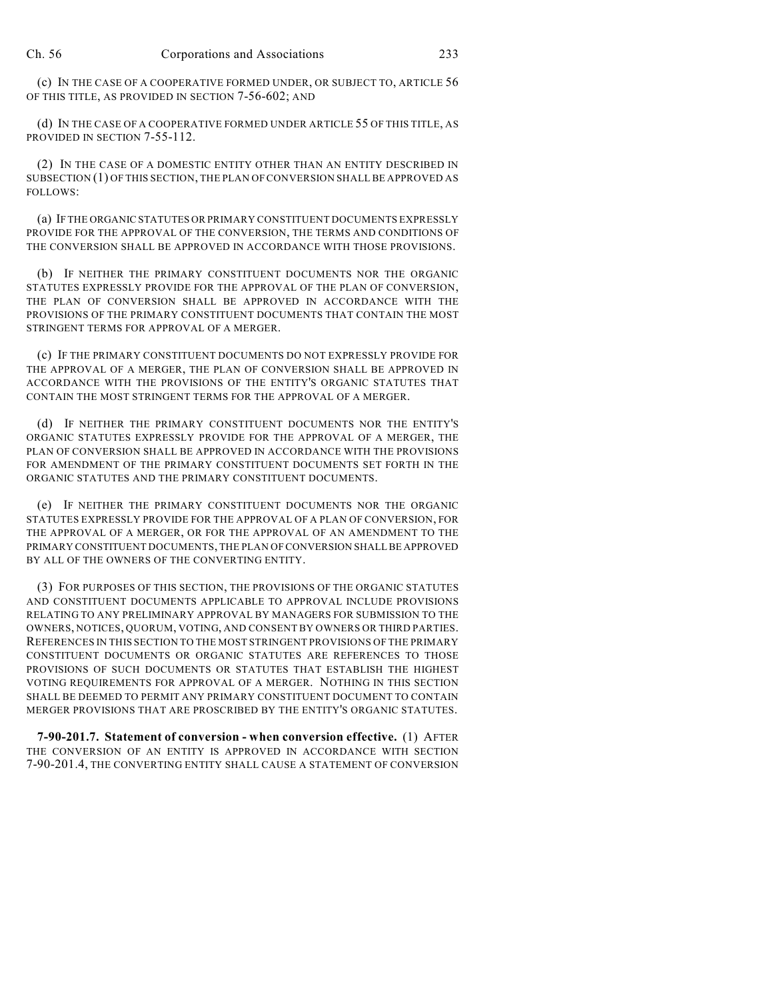(c) IN THE CASE OF A COOPERATIVE FORMED UNDER, OR SUBJECT TO, ARTICLE 56 OF THIS TITLE, AS PROVIDED IN SECTION 7-56-602; AND

(d) IN THE CASE OF A COOPERATIVE FORMED UNDER ARTICLE 55 OF THIS TITLE, AS PROVIDED IN SECTION 7-55-112.

(2) IN THE CASE OF A DOMESTIC ENTITY OTHER THAN AN ENTITY DESCRIBED IN SUBSECTION (1) OF THIS SECTION, THE PLAN OFCONVERSION SHALL BE APPROVED AS FOLLOWS:

(a) IF THE ORGANIC STATUTES OR PRIMARY CONSTITUENT DOCUMENTS EXPRESSLY PROVIDE FOR THE APPROVAL OF THE CONVERSION, THE TERMS AND CONDITIONS OF THE CONVERSION SHALL BE APPROVED IN ACCORDANCE WITH THOSE PROVISIONS.

(b) IF NEITHER THE PRIMARY CONSTITUENT DOCUMENTS NOR THE ORGANIC STATUTES EXPRESSLY PROVIDE FOR THE APPROVAL OF THE PLAN OF CONVERSION, THE PLAN OF CONVERSION SHALL BE APPROVED IN ACCORDANCE WITH THE PROVISIONS OF THE PRIMARY CONSTITUENT DOCUMENTS THAT CONTAIN THE MOST STRINGENT TERMS FOR APPROVAL OF A MERGER.

(c) IF THE PRIMARY CONSTITUENT DOCUMENTS DO NOT EXPRESSLY PROVIDE FOR THE APPROVAL OF A MERGER, THE PLAN OF CONVERSION SHALL BE APPROVED IN ACCORDANCE WITH THE PROVISIONS OF THE ENTITY'S ORGANIC STATUTES THAT CONTAIN THE MOST STRINGENT TERMS FOR THE APPROVAL OF A MERGER.

(d) IF NEITHER THE PRIMARY CONSTITUENT DOCUMENTS NOR THE ENTITY'S ORGANIC STATUTES EXPRESSLY PROVIDE FOR THE APPROVAL OF A MERGER, THE PLAN OF CONVERSION SHALL BE APPROVED IN ACCORDANCE WITH THE PROVISIONS FOR AMENDMENT OF THE PRIMARY CONSTITUENT DOCUMENTS SET FORTH IN THE ORGANIC STATUTES AND THE PRIMARY CONSTITUENT DOCUMENTS.

(e) IF NEITHER THE PRIMARY CONSTITUENT DOCUMENTS NOR THE ORGANIC STATUTES EXPRESSLY PROVIDE FOR THE APPROVAL OF A PLAN OF CONVERSION, FOR THE APPROVAL OF A MERGER, OR FOR THE APPROVAL OF AN AMENDMENT TO THE PRIMARY CONSTITUENT DOCUMENTS, THE PLAN OF CONVERSION SHALL BE APPROVED BY ALL OF THE OWNERS OF THE CONVERTING ENTITY.

(3) FOR PURPOSES OF THIS SECTION, THE PROVISIONS OF THE ORGANIC STATUTES AND CONSTITUENT DOCUMENTS APPLICABLE TO APPROVAL INCLUDE PROVISIONS RELATING TO ANY PRELIMINARY APPROVAL BY MANAGERS FOR SUBMISSION TO THE OWNERS, NOTICES, QUORUM, VOTING, AND CONSENT BY OWNERS OR THIRD PARTIES. REFERENCES IN THIS SECTION TO THE MOST STRINGENT PROVISIONS OF THE PRIMARY CONSTITUENT DOCUMENTS OR ORGANIC STATUTES ARE REFERENCES TO THOSE PROVISIONS OF SUCH DOCUMENTS OR STATUTES THAT ESTABLISH THE HIGHEST VOTING REQUIREMENTS FOR APPROVAL OF A MERGER. NOTHING IN THIS SECTION SHALL BE DEEMED TO PERMIT ANY PRIMARY CONSTITUENT DOCUMENT TO CONTAIN MERGER PROVISIONS THAT ARE PROSCRIBED BY THE ENTITY'S ORGANIC STATUTES.

**7-90-201.7. Statement of conversion - when conversion effective.** (1) AFTER THE CONVERSION OF AN ENTITY IS APPROVED IN ACCORDANCE WITH SECTION 7-90-201.4, THE CONVERTING ENTITY SHALL CAUSE A STATEMENT OF CONVERSION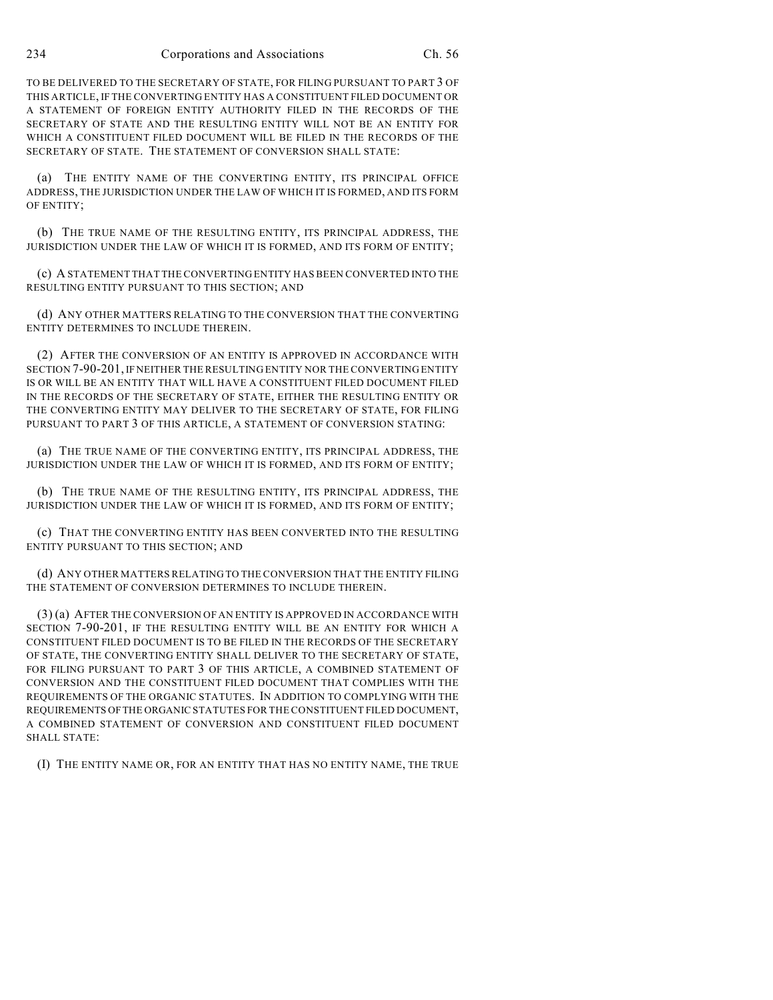TO BE DELIVERED TO THE SECRETARY OF STATE, FOR FILING PURSUANT TO PART 3 OF THIS ARTICLE, IF THE CONVERTING ENTITY HAS A CONSTITUENT FILED DOCUMENT OR A STATEMENT OF FOREIGN ENTITY AUTHORITY FILED IN THE RECORDS OF THE SECRETARY OF STATE AND THE RESULTING ENTITY WILL NOT BE AN ENTITY FOR WHICH A CONSTITUENT FILED DOCUMENT WILL BE FILED IN THE RECORDS OF THE SECRETARY OF STATE. THE STATEMENT OF CONVERSION SHALL STATE:

(a) THE ENTITY NAME OF THE CONVERTING ENTITY, ITS PRINCIPAL OFFICE ADDRESS, THE JURISDICTION UNDER THE LAW OF WHICH IT IS FORMED, AND ITS FORM OF ENTITY;

(b) THE TRUE NAME OF THE RESULTING ENTITY, ITS PRINCIPAL ADDRESS, THE JURISDICTION UNDER THE LAW OF WHICH IT IS FORMED, AND ITS FORM OF ENTITY;

(c) A STATEMENT THAT THE CONVERTING ENTITY HAS BEEN CONVERTED INTO THE RESULTING ENTITY PURSUANT TO THIS SECTION; AND

(d) ANY OTHER MATTERS RELATING TO THE CONVERSION THAT THE CONVERTING ENTITY DETERMINES TO INCLUDE THEREIN.

(2) AFTER THE CONVERSION OF AN ENTITY IS APPROVED IN ACCORDANCE WITH SECTION 7-90-201, IF NEITHER THE RESULTING ENTITY NOR THE CONVERTING ENTITY IS OR WILL BE AN ENTITY THAT WILL HAVE A CONSTITUENT FILED DOCUMENT FILED IN THE RECORDS OF THE SECRETARY OF STATE, EITHER THE RESULTING ENTITY OR THE CONVERTING ENTITY MAY DELIVER TO THE SECRETARY OF STATE, FOR FILING PURSUANT TO PART 3 OF THIS ARTICLE, A STATEMENT OF CONVERSION STATING:

(a) THE TRUE NAME OF THE CONVERTING ENTITY, ITS PRINCIPAL ADDRESS, THE JURISDICTION UNDER THE LAW OF WHICH IT IS FORMED, AND ITS FORM OF ENTITY;

(b) THE TRUE NAME OF THE RESULTING ENTITY, ITS PRINCIPAL ADDRESS, THE JURISDICTION UNDER THE LAW OF WHICH IT IS FORMED, AND ITS FORM OF ENTITY;

(c) THAT THE CONVERTING ENTITY HAS BEEN CONVERTED INTO THE RESULTING ENTITY PURSUANT TO THIS SECTION; AND

(d) ANY OTHER MATTERS RELATING TO THE CONVERSION THAT THE ENTITY FILING THE STATEMENT OF CONVERSION DETERMINES TO INCLUDE THEREIN.

(3) (a) AFTER THE CONVERSION OF AN ENTITY IS APPROVED IN ACCORDANCE WITH SECTION 7-90-201, IF THE RESULTING ENTITY WILL BE AN ENTITY FOR WHICH A CONSTITUENT FILED DOCUMENT IS TO BE FILED IN THE RECORDS OF THE SECRETARY OF STATE, THE CONVERTING ENTITY SHALL DELIVER TO THE SECRETARY OF STATE, FOR FILING PURSUANT TO PART 3 OF THIS ARTICLE, A COMBINED STATEMENT OF CONVERSION AND THE CONSTITUENT FILED DOCUMENT THAT COMPLIES WITH THE REQUIREMENTS OF THE ORGANIC STATUTES. IN ADDITION TO COMPLYING WITH THE REQUIREMENTS OF THE ORGANIC STATUTES FOR THE CONSTITUENT FILED DOCUMENT, A COMBINED STATEMENT OF CONVERSION AND CONSTITUENT FILED DOCUMENT SHALL STATE:

(I) THE ENTITY NAME OR, FOR AN ENTITY THAT HAS NO ENTITY NAME, THE TRUE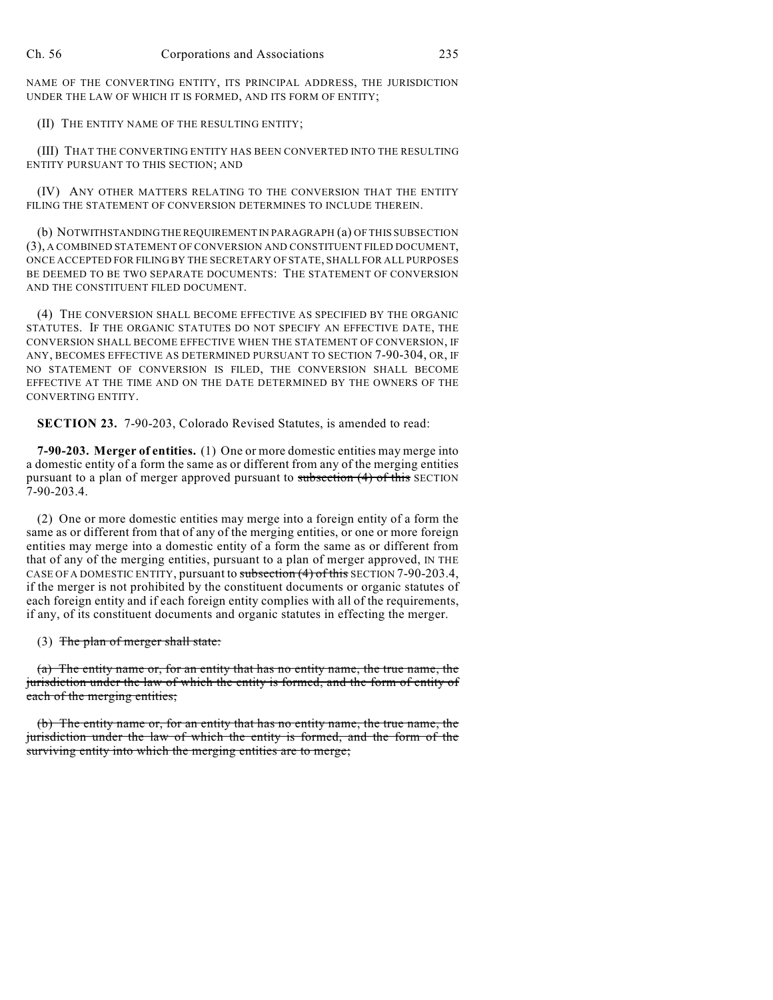NAME OF THE CONVERTING ENTITY, ITS PRINCIPAL ADDRESS, THE JURISDICTION UNDER THE LAW OF WHICH IT IS FORMED, AND ITS FORM OF ENTITY;

#### (II) THE ENTITY NAME OF THE RESULTING ENTITY;

(III) THAT THE CONVERTING ENTITY HAS BEEN CONVERTED INTO THE RESULTING ENTITY PURSUANT TO THIS SECTION; AND

(IV) ANY OTHER MATTERS RELATING TO THE CONVERSION THAT THE ENTITY FILING THE STATEMENT OF CONVERSION DETERMINES TO INCLUDE THEREIN.

(b) NOTWITHSTANDING THE REQUIREMENT IN PARAGRAPH (a) OF THIS SUBSECTION (3), A COMBINED STATEMENT OF CONVERSION AND CONSTITUENT FILED DOCUMENT, ONCE ACCEPTED FOR FILING BY THE SECRETARY OF STATE, SHALL FOR ALL PURPOSES BE DEEMED TO BE TWO SEPARATE DOCUMENTS: THE STATEMENT OF CONVERSION AND THE CONSTITUENT FILED DOCUMENT.

(4) THE CONVERSION SHALL BECOME EFFECTIVE AS SPECIFIED BY THE ORGANIC STATUTES. IF THE ORGANIC STATUTES DO NOT SPECIFY AN EFFECTIVE DATE, THE CONVERSION SHALL BECOME EFFECTIVE WHEN THE STATEMENT OF CONVERSION, IF ANY, BECOMES EFFECTIVE AS DETERMINED PURSUANT TO SECTION 7-90-304, OR, IF NO STATEMENT OF CONVERSION IS FILED, THE CONVERSION SHALL BECOME EFFECTIVE AT THE TIME AND ON THE DATE DETERMINED BY THE OWNERS OF THE CONVERTING ENTITY.

**SECTION 23.** 7-90-203, Colorado Revised Statutes, is amended to read:

**7-90-203. Merger of entities.** (1) One or more domestic entities may merge into a domestic entity of a form the same as or different from any of the merging entities pursuant to a plan of merger approved pursuant to  $subsection(4)$  of this SECTION 7-90-203.4.

(2) One or more domestic entities may merge into a foreign entity of a form the same as or different from that of any of the merging entities, or one or more foreign entities may merge into a domestic entity of a form the same as or different from that of any of the merging entities, pursuant to a plan of merger approved, IN THE CASE OF A DOMESTIC ENTITY, pursuant to subsection (4) of this SECTION 7-90-203.4, if the merger is not prohibited by the constituent documents or organic statutes of each foreign entity and if each foreign entity complies with all of the requirements, if any, of its constituent documents and organic statutes in effecting the merger.

(3) The plan of merger shall state:

(a) The entity name or, for an entity that has no entity name, the true name, the jurisdiction under the law of which the entity is formed, and the form of entity of each of the merging entities;

(b) The entity name or, for an entity that has no entity name, the true name, the jurisdiction under the law of which the entity is formed, and the form of the surviving entity into which the merging entities are to merge;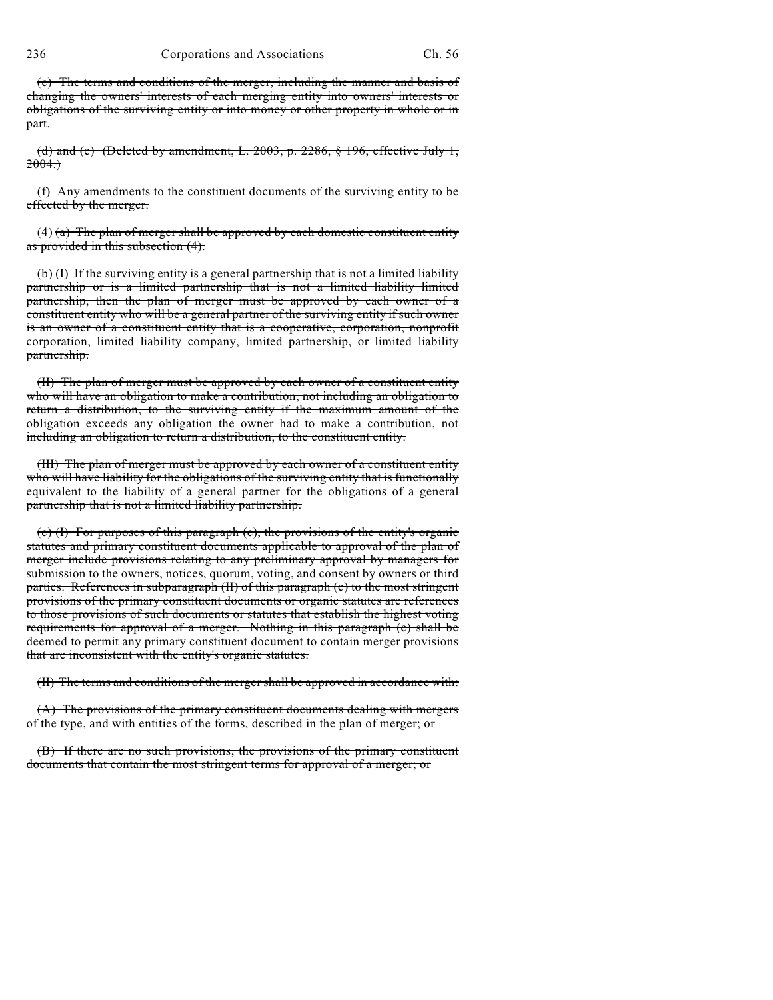(c) The terms and conditions of the merger, including the manner and basis of changing the owners' interests of each merging entity into owners' interests or obligations of the surviving entity or into money or other property in whole or in part.

(d) and (e) (Deleted by amendment, L. 2003, p. 2286, § 196, effective July 1,  $2004.$ 

(f) Any amendments to the constituent documents of the surviving entity to be effected by the merger.

 $(4)$  (a) The plan of merger shall be approved by each domestic constituent entity as provided in this subsection (4).

(b) (I) If the surviving entity is a general partnership that is not a limited liability partnership or is a limited partnership that is not a limited liability limited partnership, then the plan of merger must be approved by each owner of a constituent entity who will be a general partner of the surviving entity if such owner is an owner of a constituent entity that is a cooperative, corporation, nonprofit corporation, limited liability company, limited partnership, or limited liability partnership.

(II) The plan of merger must be approved by each owner of a constituent entity who will have an obligation to make a contribution, not including an obligation to return a distribution, to the surviving entity if the maximum amount of the obligation exceeds any obligation the owner had to make a contribution, not including an obligation to return a distribution, to the constituent entity.

(III) The plan of merger must be approved by each owner of a constituent entity who will have liability for the obligations of the surviving entity that is functionally equivalent to the liability of a general partner for the obligations of a general partnership that is not a limited liability partnership.

(c) (I) For purposes of this paragraph (c), the provisions of the entity's organic statutes and primary constituent documents applicable to approval of the plan of merger include provisions relating to any preliminary approval by managers for submission to the owners, notices, quorum, voting, and consent by owners or third parties. References in subparagraph (II) of this paragraph (c) to the most stringent provisions of the primary constituent documents or organic statutes are references to those provisions of such documents or statutes that establish the highest voting requirements for approval of a merger. Nothing in this paragraph (c) shall be deemed to permit any primary constituent document to contain merger provisions that are inconsistent with the entity's organic statutes.

(II) The terms and conditions of the merger shall be approved in accordance with:

(A) The provisions of the primary constituent documents dealing with mergers of the type, and with entities of the forms, described in the plan of merger; or

(B) If there are no such provisions, the provisions of the primary constituent documents that contain the most stringent terms for approval of a merger; or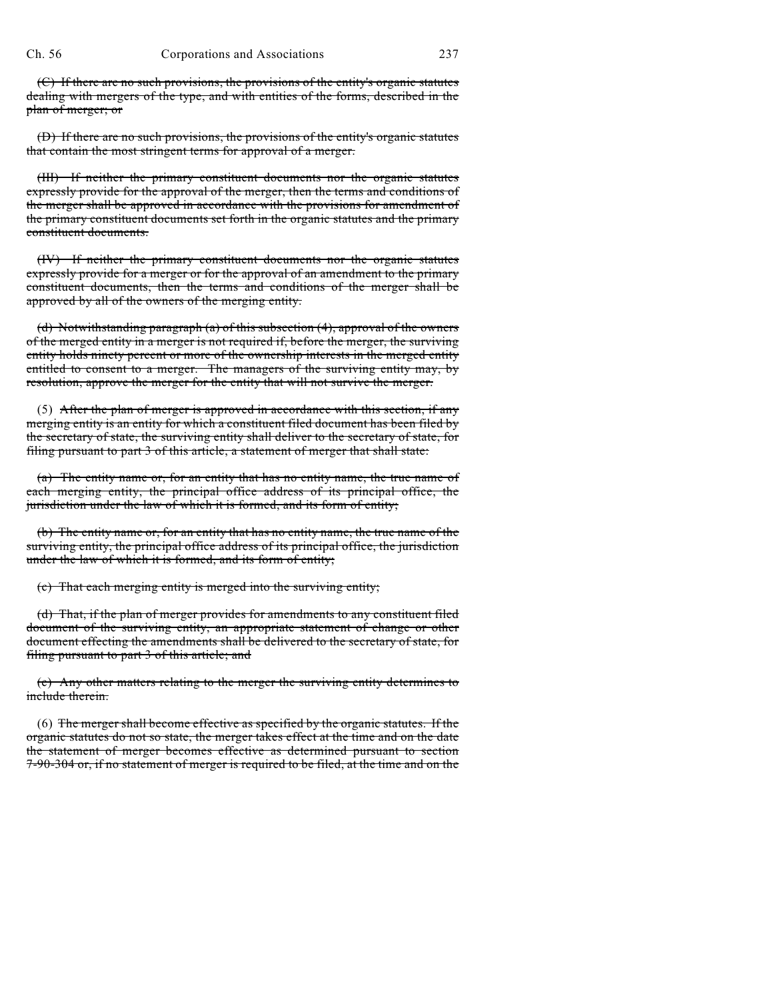(C) If there are no such provisions, the provisions of the entity's organic statutes dealing with mergers of the type, and with entities of the forms, described in the plan of merger; or

(D) If there are no such provisions, the provisions of the entity's organic statutes that contain the most stringent terms for approval of a merger.

(III) If neither the primary constituent documents nor the organic statutes expressly provide for the approval of the merger, then the terms and conditions of the merger shall be approved in accordance with the provisions for amendment of the primary constituent documents set forth in the organic statutes and the primary constituent documents.

(IV) If neither the primary constituent documents nor the organic statutes expressly provide for a merger or for the approval of an amendment to the primary constituent documents, then the terms and conditions of the merger shall be approved by all of the owners of the merging entity.

(d) Notwithstanding paragraph (a) of this subsection (4), approval of the owners of the merged entity in a merger is not required if, before the merger, the surviving entity holds ninety percent or more of the ownership interests in the merged entity entitled to consent to a merger. The managers of the surviving entity may, by resolution, approve the merger for the entity that will not survive the merger.

(5) After the plan of merger is approved in accordance with this section, if any merging entity is an entity for which a constituent filed document has been filed by the secretary of state, the surviving entity shall deliver to the secretary of state, for filing pursuant to part 3 of this article, a statement of merger that shall state:

(a) The entity name or, for an entity that has no entity name, the true name of each merging entity, the principal office address of its principal office, the jurisdiction under the law of which it is formed, and its form of entity;

(b) The entity name or, for an entity that has no entity name, the true name of the surviving entity, the principal office address of its principal office, the jurisdiction under the law of which it is formed, and its form of entity;

(c) That each merging entity is merged into the surviving entity;

(d) That, if the plan of merger provides for amendments to any constituent filed document of the surviving entity, an appropriate statement of change or other document effecting the amendments shall be delivered to the secretary of state, for filing pursuant to part 3 of this article; and

(e) Any other matters relating to the merger the surviving entity determines to include therein.

(6) The merger shall become effective as specified by the organic statutes. If the organic statutes do not so state, the merger takes effect at the time and on the date the statement of merger becomes effective as determined pursuant to section 7-90-304 or, if no statement of merger is required to be filed, at the time and on the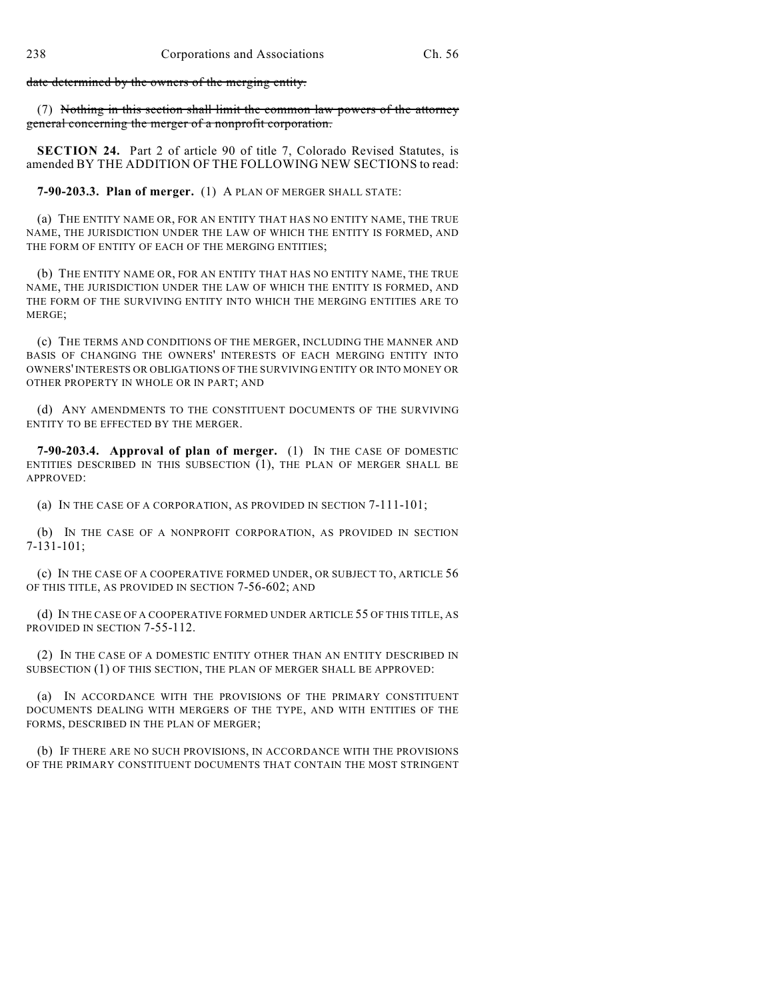date determined by the owners of the merging entity.

(7) Nothing in this section shall limit the common law powers of the attorney general concerning the merger of a nonprofit corporation.

**SECTION 24.** Part 2 of article 90 of title 7, Colorado Revised Statutes, is amended BY THE ADDITION OF THE FOLLOWING NEW SECTIONS to read:

**7-90-203.3. Plan of merger.** (1) A PLAN OF MERGER SHALL STATE:

(a) THE ENTITY NAME OR, FOR AN ENTITY THAT HAS NO ENTITY NAME, THE TRUE NAME, THE JURISDICTION UNDER THE LAW OF WHICH THE ENTITY IS FORMED, AND THE FORM OF ENTITY OF EACH OF THE MERGING ENTITIES;

(b) THE ENTITY NAME OR, FOR AN ENTITY THAT HAS NO ENTITY NAME, THE TRUE NAME, THE JURISDICTION UNDER THE LAW OF WHICH THE ENTITY IS FORMED, AND THE FORM OF THE SURVIVING ENTITY INTO WHICH THE MERGING ENTITIES ARE TO MERGE;

(c) THE TERMS AND CONDITIONS OF THE MERGER, INCLUDING THE MANNER AND BASIS OF CHANGING THE OWNERS' INTERESTS OF EACH MERGING ENTITY INTO OWNERS' INTERESTS OR OBLIGATIONS OF THE SURVIVING ENTITY OR INTO MONEY OR OTHER PROPERTY IN WHOLE OR IN PART; AND

(d) ANY AMENDMENTS TO THE CONSTITUENT DOCUMENTS OF THE SURVIVING ENTITY TO BE EFFECTED BY THE MERGER.

**7-90-203.4. Approval of plan of merger.** (1) IN THE CASE OF DOMESTIC ENTITIES DESCRIBED IN THIS SUBSECTION (1), THE PLAN OF MERGER SHALL BE APPROVED:

(a) IN THE CASE OF A CORPORATION, AS PROVIDED IN SECTION 7-111-101;

(b) IN THE CASE OF A NONPROFIT CORPORATION, AS PROVIDED IN SECTION 7-131-101;

(c) IN THE CASE OF A COOPERATIVE FORMED UNDER, OR SUBJECT TO, ARTICLE 56 OF THIS TITLE, AS PROVIDED IN SECTION 7-56-602; AND

(d) IN THE CASE OF A COOPERATIVE FORMED UNDER ARTICLE 55 OF THIS TITLE, AS PROVIDED IN SECTION 7-55-112.

(2) IN THE CASE OF A DOMESTIC ENTITY OTHER THAN AN ENTITY DESCRIBED IN SUBSECTION (1) OF THIS SECTION, THE PLAN OF MERGER SHALL BE APPROVED:

(a) IN ACCORDANCE WITH THE PROVISIONS OF THE PRIMARY CONSTITUENT DOCUMENTS DEALING WITH MERGERS OF THE TYPE, AND WITH ENTITIES OF THE FORMS, DESCRIBED IN THE PLAN OF MERGER;

(b) IF THERE ARE NO SUCH PROVISIONS, IN ACCORDANCE WITH THE PROVISIONS OF THE PRIMARY CONSTITUENT DOCUMENTS THAT CONTAIN THE MOST STRINGENT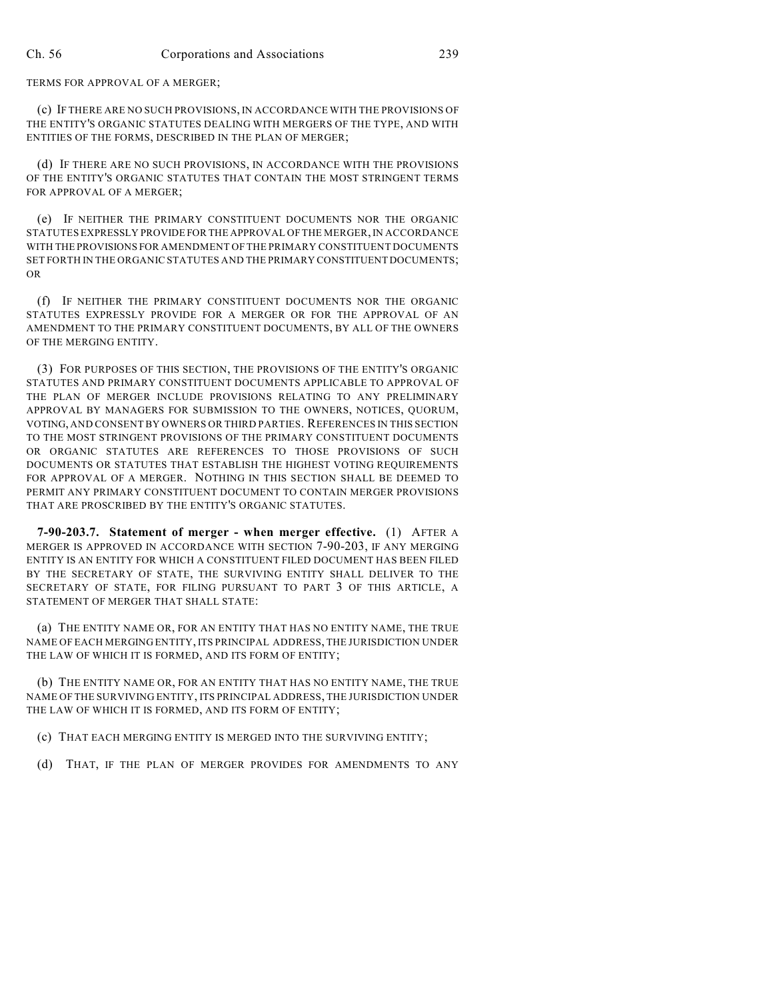TERMS FOR APPROVAL OF A MERGER;

(c) IF THERE ARE NO SUCH PROVISIONS, IN ACCORDANCE WITH THE PROVISIONS OF THE ENTITY'S ORGANIC STATUTES DEALING WITH MERGERS OF THE TYPE, AND WITH ENTITIES OF THE FORMS, DESCRIBED IN THE PLAN OF MERGER;

(d) IF THERE ARE NO SUCH PROVISIONS, IN ACCORDANCE WITH THE PROVISIONS OF THE ENTITY'S ORGANIC STATUTES THAT CONTAIN THE MOST STRINGENT TERMS FOR APPROVAL OF A MERGER;

(e) IF NEITHER THE PRIMARY CONSTITUENT DOCUMENTS NOR THE ORGANIC STATUTES EXPRESSLY PROVIDE FOR THE APPROVAL OF THE MERGER, IN ACCORDANCE WITH THE PROVISIONS FOR AMENDMENT OF THE PRIMARY CONSTITUENT DOCUMENTS SET FORTH IN THE ORGANIC STATUTES AND THE PRIMARY CONSTITUENT DOCUMENTS; OR

(f) IF NEITHER THE PRIMARY CONSTITUENT DOCUMENTS NOR THE ORGANIC STATUTES EXPRESSLY PROVIDE FOR A MERGER OR FOR THE APPROVAL OF AN AMENDMENT TO THE PRIMARY CONSTITUENT DOCUMENTS, BY ALL OF THE OWNERS OF THE MERGING ENTITY.

(3) FOR PURPOSES OF THIS SECTION, THE PROVISIONS OF THE ENTITY'S ORGANIC STATUTES AND PRIMARY CONSTITUENT DOCUMENTS APPLICABLE TO APPROVAL OF THE PLAN OF MERGER INCLUDE PROVISIONS RELATING TO ANY PRELIMINARY APPROVAL BY MANAGERS FOR SUBMISSION TO THE OWNERS, NOTICES, QUORUM, VOTING, AND CONSENT BY OWNERS OR THIRD PARTIES. REFERENCES IN THIS SECTION TO THE MOST STRINGENT PROVISIONS OF THE PRIMARY CONSTITUENT DOCUMENTS OR ORGANIC STATUTES ARE REFERENCES TO THOSE PROVISIONS OF SUCH DOCUMENTS OR STATUTES THAT ESTABLISH THE HIGHEST VOTING REQUIREMENTS FOR APPROVAL OF A MERGER. NOTHING IN THIS SECTION SHALL BE DEEMED TO PERMIT ANY PRIMARY CONSTITUENT DOCUMENT TO CONTAIN MERGER PROVISIONS THAT ARE PROSCRIBED BY THE ENTITY'S ORGANIC STATUTES.

**7-90-203.7. Statement of merger - when merger effective.** (1) AFTER A MERGER IS APPROVED IN ACCORDANCE WITH SECTION 7-90-203, IF ANY MERGING ENTITY IS AN ENTITY FOR WHICH A CONSTITUENT FILED DOCUMENT HAS BEEN FILED BY THE SECRETARY OF STATE, THE SURVIVING ENTITY SHALL DELIVER TO THE SECRETARY OF STATE, FOR FILING PURSUANT TO PART 3 OF THIS ARTICLE, A STATEMENT OF MERGER THAT SHALL STATE:

(a) THE ENTITY NAME OR, FOR AN ENTITY THAT HAS NO ENTITY NAME, THE TRUE NAME OF EACH MERGING ENTITY, ITS PRINCIPAL ADDRESS, THE JURISDICTION UNDER THE LAW OF WHICH IT IS FORMED, AND ITS FORM OF ENTITY;

(b) THE ENTITY NAME OR, FOR AN ENTITY THAT HAS NO ENTITY NAME, THE TRUE NAME OF THE SURVIVING ENTITY, ITS PRINCIPAL ADDRESS, THE JURISDICTION UNDER THE LAW OF WHICH IT IS FORMED, AND ITS FORM OF ENTITY;

(c) THAT EACH MERGING ENTITY IS MERGED INTO THE SURVIVING ENTITY;

(d) THAT, IF THE PLAN OF MERGER PROVIDES FOR AMENDMENTS TO ANY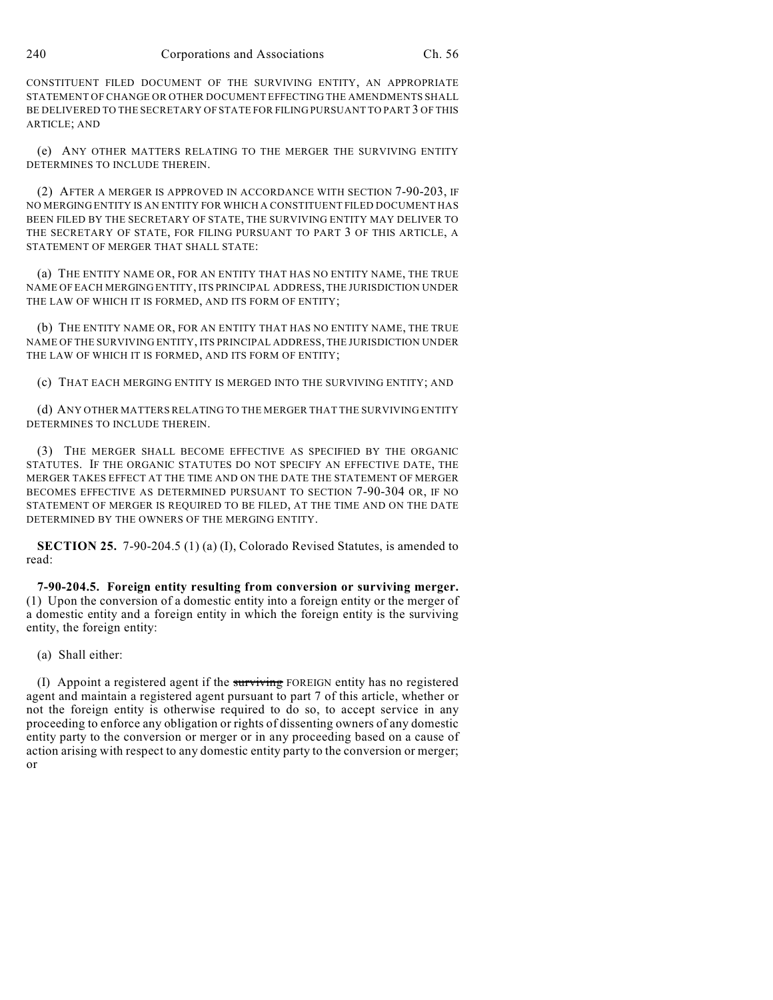CONSTITUENT FILED DOCUMENT OF THE SURVIVING ENTITY, AN APPROPRIATE STATEMENT OF CHANGE OR OTHER DOCUMENT EFFECTING THE AMENDMENTS SHALL BE DELIVERED TO THE SECRETARY OF STATE FOR FILING PURSUANT TO PART 3 OF THIS ARTICLE; AND

(e) ANY OTHER MATTERS RELATING TO THE MERGER THE SURVIVING ENTITY DETERMINES TO INCLUDE THEREIN.

(2) AFTER A MERGER IS APPROVED IN ACCORDANCE WITH SECTION 7-90-203, IF NO MERGING ENTITY IS AN ENTITY FOR WHICH A CONSTITUENT FILED DOCUMENT HAS BEEN FILED BY THE SECRETARY OF STATE, THE SURVIVING ENTITY MAY DELIVER TO THE SECRETARY OF STATE, FOR FILING PURSUANT TO PART 3 OF THIS ARTICLE, A STATEMENT OF MERGER THAT SHALL STATE:

(a) THE ENTITY NAME OR, FOR AN ENTITY THAT HAS NO ENTITY NAME, THE TRUE NAME OF EACH MERGING ENTITY, ITS PRINCIPAL ADDRESS, THE JURISDICTION UNDER THE LAW OF WHICH IT IS FORMED, AND ITS FORM OF ENTITY;

(b) THE ENTITY NAME OR, FOR AN ENTITY THAT HAS NO ENTITY NAME, THE TRUE NAME OF THE SURVIVING ENTITY, ITS PRINCIPAL ADDRESS, THE JURISDICTION UNDER THE LAW OF WHICH IT IS FORMED, AND ITS FORM OF ENTITY;

(c) THAT EACH MERGING ENTITY IS MERGED INTO THE SURVIVING ENTITY; AND

(d) ANY OTHER MATTERS RELATING TO THE MERGER THAT THE SURVIVING ENTITY DETERMINES TO INCLUDE THEREIN.

(3) THE MERGER SHALL BECOME EFFECTIVE AS SPECIFIED BY THE ORGANIC STATUTES. IF THE ORGANIC STATUTES DO NOT SPECIFY AN EFFECTIVE DATE, THE MERGER TAKES EFFECT AT THE TIME AND ON THE DATE THE STATEMENT OF MERGER BECOMES EFFECTIVE AS DETERMINED PURSUANT TO SECTION 7-90-304 OR, IF NO STATEMENT OF MERGER IS REQUIRED TO BE FILED, AT THE TIME AND ON THE DATE DETERMINED BY THE OWNERS OF THE MERGING ENTITY.

**SECTION 25.** 7-90-204.5 (1) (a) (I), Colorado Revised Statutes, is amended to read:

**7-90-204.5. Foreign entity resulting from conversion or surviving merger.** (1) Upon the conversion of a domestic entity into a foreign entity or the merger of a domestic entity and a foreign entity in which the foreign entity is the surviving entity, the foreign entity:

(a) Shall either:

(I) Appoint a registered agent if the surviving FOREIGN entity has no registered agent and maintain a registered agent pursuant to part 7 of this article, whether or not the foreign entity is otherwise required to do so, to accept service in any proceeding to enforce any obligation or rights of dissenting owners of any domestic entity party to the conversion or merger or in any proceeding based on a cause of action arising with respect to any domestic entity party to the conversion or merger; or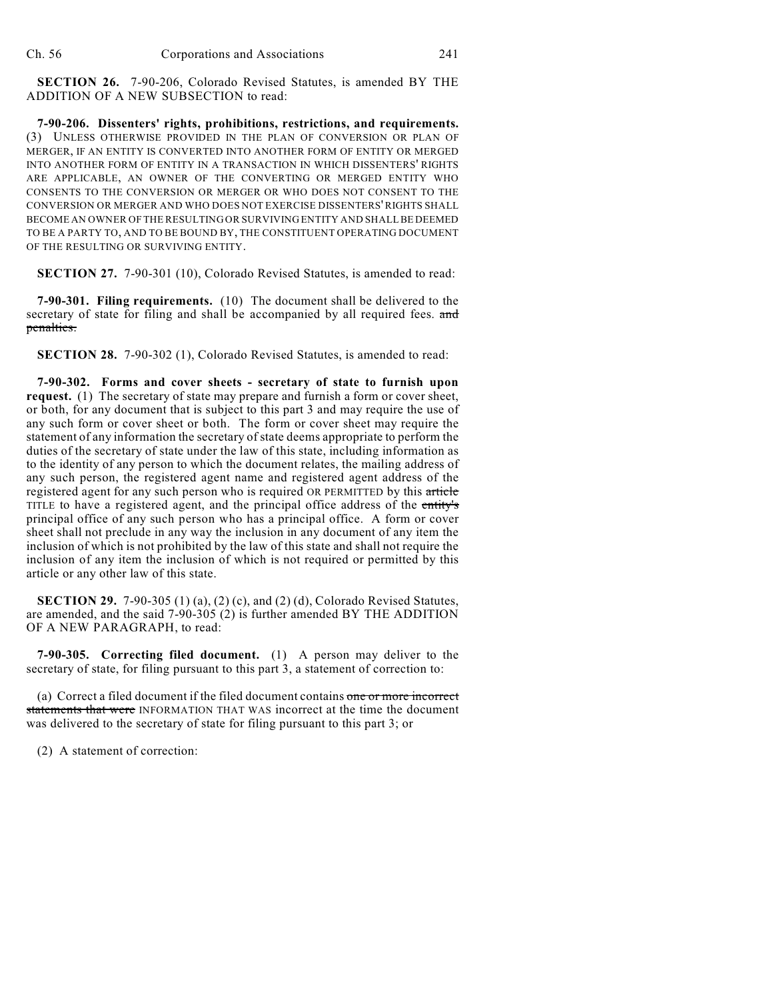**SECTION 26.** 7-90-206, Colorado Revised Statutes, is amended BY THE ADDITION OF A NEW SUBSECTION to read:

**7-90-206. Dissenters' rights, prohibitions, restrictions, and requirements.** (3) UNLESS OTHERWISE PROVIDED IN THE PLAN OF CONVERSION OR PLAN OF MERGER, IF AN ENTITY IS CONVERTED INTO ANOTHER FORM OF ENTITY OR MERGED INTO ANOTHER FORM OF ENTITY IN A TRANSACTION IN WHICH DISSENTERS' RIGHTS ARE APPLICABLE, AN OWNER OF THE CONVERTING OR MERGED ENTITY WHO CONSENTS TO THE CONVERSION OR MERGER OR WHO DOES NOT CONSENT TO THE CONVERSION OR MERGER AND WHO DOES NOT EXERCISE DISSENTERS' RIGHTS SHALL BECOME AN OWNER OF THE RESULTING OR SURVIVING ENTITY AND SHALL BE DEEMED TO BE A PARTY TO, AND TO BE BOUND BY, THE CONSTITUENT OPERATING DOCUMENT OF THE RESULTING OR SURVIVING ENTITY.

**SECTION 27.** 7-90-301 (10), Colorado Revised Statutes, is amended to read:

**7-90-301. Filing requirements.** (10) The document shall be delivered to the secretary of state for filing and shall be accompanied by all required fees. and penalties.

**SECTION 28.** 7-90-302 (1), Colorado Revised Statutes, is amended to read:

**7-90-302. Forms and cover sheets - secretary of state to furnish upon request.** (1) The secretary of state may prepare and furnish a form or cover sheet, or both, for any document that is subject to this part 3 and may require the use of any such form or cover sheet or both. The form or cover sheet may require the statement of any information the secretary of state deems appropriate to perform the duties of the secretary of state under the law of this state, including information as to the identity of any person to which the document relates, the mailing address of any such person, the registered agent name and registered agent address of the registered agent for any such person who is required OR PERMITTED by this article TITLE to have a registered agent, and the principal office address of the entity's principal office of any such person who has a principal office. A form or cover sheet shall not preclude in any way the inclusion in any document of any item the inclusion of which is not prohibited by the law of this state and shall not require the inclusion of any item the inclusion of which is not required or permitted by this article or any other law of this state.

**SECTION 29.** 7-90-305 (1) (a), (2) (c), and (2) (d), Colorado Revised Statutes, are amended, and the said 7-90-305 (2) is further amended BY THE ADDITION OF A NEW PARAGRAPH, to read:

**7-90-305. Correcting filed document.** (1) A person may deliver to the secretary of state, for filing pursuant to this part 3, a statement of correction to:

(a) Correct a filed document if the filed document contains one or more incorrect statements that were INFORMATION THAT WAS incorrect at the time the document was delivered to the secretary of state for filing pursuant to this part 3; or

(2) A statement of correction: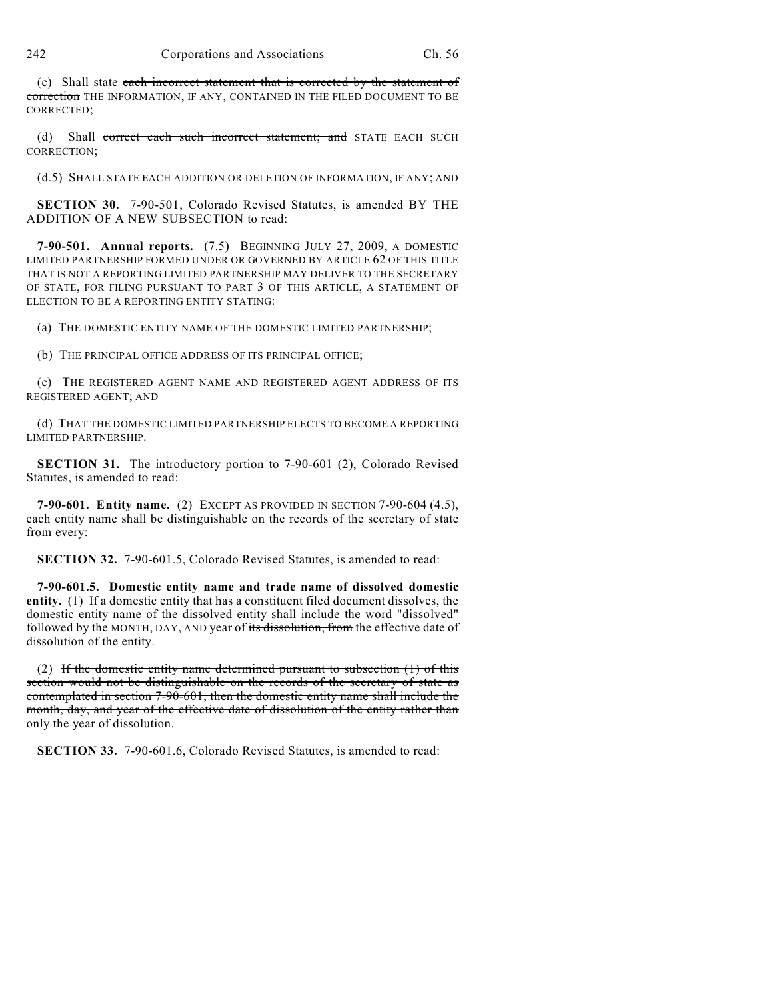(c) Shall state each incorrect statement that is corrected by the statement of correction THE INFORMATION, IF ANY, CONTAINED IN THE FILED DOCUMENT TO BE CORRECTED;

(d) Shall correct each such incorrect statement; and STATE EACH SUCH CORRECTION;

(d.5) SHALL STATE EACH ADDITION OR DELETION OF INFORMATION, IF ANY; AND

**SECTION 30.** 7-90-501, Colorado Revised Statutes, is amended BY THE ADDITION OF A NEW SUBSECTION to read:

**7-90-501. Annual reports.** (7.5) BEGINNING JULY 27, 2009, A DOMESTIC LIMITED PARTNERSHIP FORMED UNDER OR GOVERNED BY ARTICLE 62 OF THIS TITLE THAT IS NOT A REPORTING LIMITED PARTNERSHIP MAY DELIVER TO THE SECRETARY OF STATE, FOR FILING PURSUANT TO PART 3 OF THIS ARTICLE, A STATEMENT OF ELECTION TO BE A REPORTING ENTITY STATING:

(a) THE DOMESTIC ENTITY NAME OF THE DOMESTIC LIMITED PARTNERSHIP;

(b) THE PRINCIPAL OFFICE ADDRESS OF ITS PRINCIPAL OFFICE;

(c) THE REGISTERED AGENT NAME AND REGISTERED AGENT ADDRESS OF ITS REGISTERED AGENT; AND

(d) THAT THE DOMESTIC LIMITED PARTNERSHIP ELECTS TO BECOME A REPORTING LIMITED PARTNERSHIP.

**SECTION 31.** The introductory portion to 7-90-601 (2), Colorado Revised Statutes, is amended to read:

**7-90-601. Entity name.** (2) EXCEPT AS PROVIDED IN SECTION 7-90-604 (4.5), each entity name shall be distinguishable on the records of the secretary of state from every:

**SECTION 32.** 7-90-601.5, Colorado Revised Statutes, is amended to read:

**7-90-601.5. Domestic entity name and trade name of dissolved domestic entity.** (1) If a domestic entity that has a constituent filed document dissolves, the domestic entity name of the dissolved entity shall include the word "dissolved" followed by the MONTH, DAY, AND year of its dissolution, from the effective date of dissolution of the entity.

(2) If the domestic entity name determined pursuant to subsection  $(1)$  of this section would not be distinguishable on the records of the secretary of state as contemplated in section 7-90-601, then the domestic entity name shall include the month, day, and year of the effective date of dissolution of the entity rather than only the year of dissolution.

**SECTION 33.** 7-90-601.6, Colorado Revised Statutes, is amended to read: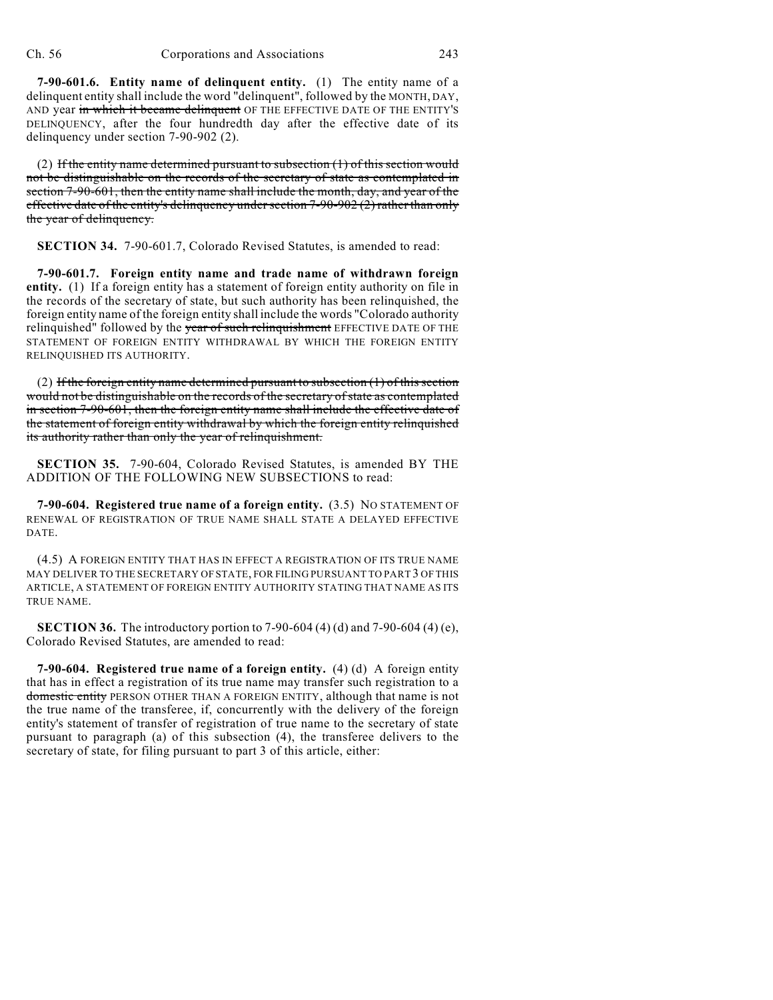**7-90-601.6. Entity name of delinquent entity.** (1) The entity name of a delinquent entity shall include the word "delinquent", followed by the MONTH, DAY, AND year in which it became delinquent OF THE EFFECTIVE DATE OF THE ENTITY'S DELINQUENCY, after the four hundredth day after the effective date of its delinquency under section 7-90-902 (2).

(2) If the entity name determined pursuant to subsection  $(1)$  of this section would not be distinguishable on the records of the secretary of state as contemplated in section 7-90-601, then the entity name shall include the month, day, and year of the effective date of the entity's delinquency under section 7-90-902 (2) rather than only the year of delinquency.

**SECTION 34.** 7-90-601.7, Colorado Revised Statutes, is amended to read:

**7-90-601.7. Foreign entity name and trade name of withdrawn foreign entity.** (1) If a foreign entity has a statement of foreign entity authority on file in the records of the secretary of state, but such authority has been relinquished, the foreign entity name of the foreign entity shall include the words "Colorado authority relinquished" followed by the year of such relinquishment EFFECTIVE DATE OF THE STATEMENT OF FOREIGN ENTITY WITHDRAWAL BY WHICH THE FOREIGN ENTITY RELINQUISHED ITS AUTHORITY.

(2) If the foreign entity name determined pursuant to subsection  $(1)$  of this section would not be distinguishable on the records of the secretary of state as contemplated in section 7-90-601, then the foreign entity name shall include the effective date of the statement of foreign entity withdrawal by which the foreign entity relinquished its authority rather than only the year of relinquishment.

**SECTION 35.** 7-90-604, Colorado Revised Statutes, is amended BY THE ADDITION OF THE FOLLOWING NEW SUBSECTIONS to read:

**7-90-604. Registered true name of a foreign entity.** (3.5) NO STATEMENT OF RENEWAL OF REGISTRATION OF TRUE NAME SHALL STATE A DELAYED EFFECTIVE DATE.

(4.5) A FOREIGN ENTITY THAT HAS IN EFFECT A REGISTRATION OF ITS TRUE NAME MAY DELIVER TO THE SECRETARY OF STATE, FOR FILING PURSUANT TO PART 3 OF THIS ARTICLE, A STATEMENT OF FOREIGN ENTITY AUTHORITY STATING THAT NAME AS ITS TRUE NAME.

**SECTION 36.** The introductory portion to 7-90-604 (4) (d) and 7-90-604 (4) (e), Colorado Revised Statutes, are amended to read:

**7-90-604. Registered true name of a foreign entity.** (4) (d) A foreign entity that has in effect a registration of its true name may transfer such registration to a domestic entity PERSON OTHER THAN A FOREIGN ENTITY, although that name is not the true name of the transferee, if, concurrently with the delivery of the foreign entity's statement of transfer of registration of true name to the secretary of state pursuant to paragraph (a) of this subsection (4), the transferee delivers to the secretary of state, for filing pursuant to part 3 of this article, either: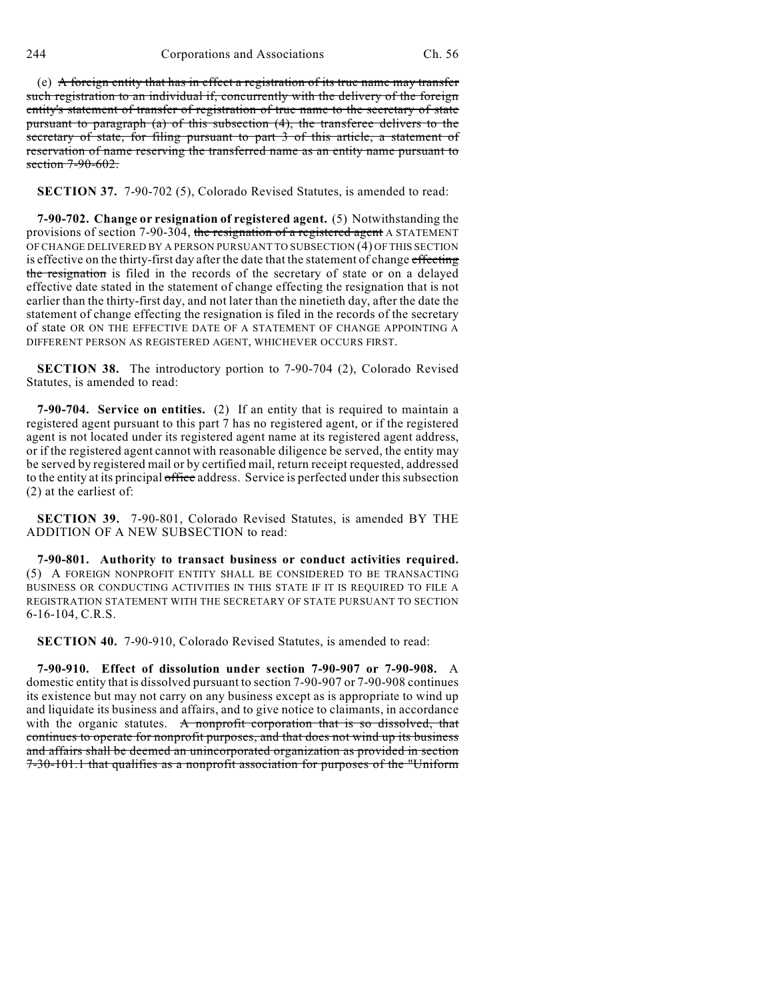(e) A foreign entity that has in effect a registration of its true name may transfer such registration to an individual if, concurrently with the delivery of the foreign entity's statement of transfer of registration of true name to the secretary of state pursuant to paragraph (a) of this subsection (4), the transferee delivers to the secretary of state, for filing pursuant to part 3 of this article, a statement of reservation of name reserving the transferred name as an entity name pursuant to section 7-90-602.

**SECTION 37.** 7-90-702 (5), Colorado Revised Statutes, is amended to read:

**7-90-702. Change or resignation of registered agent.** (5) Notwithstanding the provisions of section 7-90-304, the resignation of a registered agent A STATEMENT OF CHANGE DELIVERED BY A PERSON PURSUANT TO SUBSECTION (4) OF THIS SECTION is effective on the thirty-first day after the date that the statement of change effecting the resignation is filed in the records of the secretary of state or on a delayed effective date stated in the statement of change effecting the resignation that is not earlier than the thirty-first day, and not later than the ninetieth day, after the date the statement of change effecting the resignation is filed in the records of the secretary of state OR ON THE EFFECTIVE DATE OF A STATEMENT OF CHANGE APPOINTING A DIFFERENT PERSON AS REGISTERED AGENT, WHICHEVER OCCURS FIRST.

**SECTION 38.** The introductory portion to 7-90-704 (2), Colorado Revised Statutes, is amended to read:

**7-90-704. Service on entities.** (2) If an entity that is required to maintain a registered agent pursuant to this part 7 has no registered agent, or if the registered agent is not located under its registered agent name at its registered agent address, or if the registered agent cannot with reasonable diligence be served, the entity may be served by registered mail or by certified mail, return receipt requested, addressed to the entity at its principal office address. Service is perfected under this subsection (2) at the earliest of:

**SECTION 39.** 7-90-801, Colorado Revised Statutes, is amended BY THE ADDITION OF A NEW SUBSECTION to read:

**7-90-801. Authority to transact business or conduct activities required.** (5) A FOREIGN NONPROFIT ENTITY SHALL BE CONSIDERED TO BE TRANSACTING BUSINESS OR CONDUCTING ACTIVITIES IN THIS STATE IF IT IS REQUIRED TO FILE A REGISTRATION STATEMENT WITH THE SECRETARY OF STATE PURSUANT TO SECTION 6-16-104, C.R.S.

**SECTION 40.** 7-90-910, Colorado Revised Statutes, is amended to read:

**7-90-910. Effect of dissolution under section 7-90-907 or 7-90-908.** A domestic entity that is dissolved pursuant to section 7-90-907 or 7-90-908 continues its existence but may not carry on any business except as is appropriate to wind up and liquidate its business and affairs, and to give notice to claimants, in accordance with the organic statutes. A nonprofit corporation that is so dissolved, that continues to operate for nonprofit purposes, and that does not wind up its business and affairs shall be deemed an unincorporated organization as provided in section 7-30-101.1 that qualifies as a nonprofit association for purposes of the "Uniform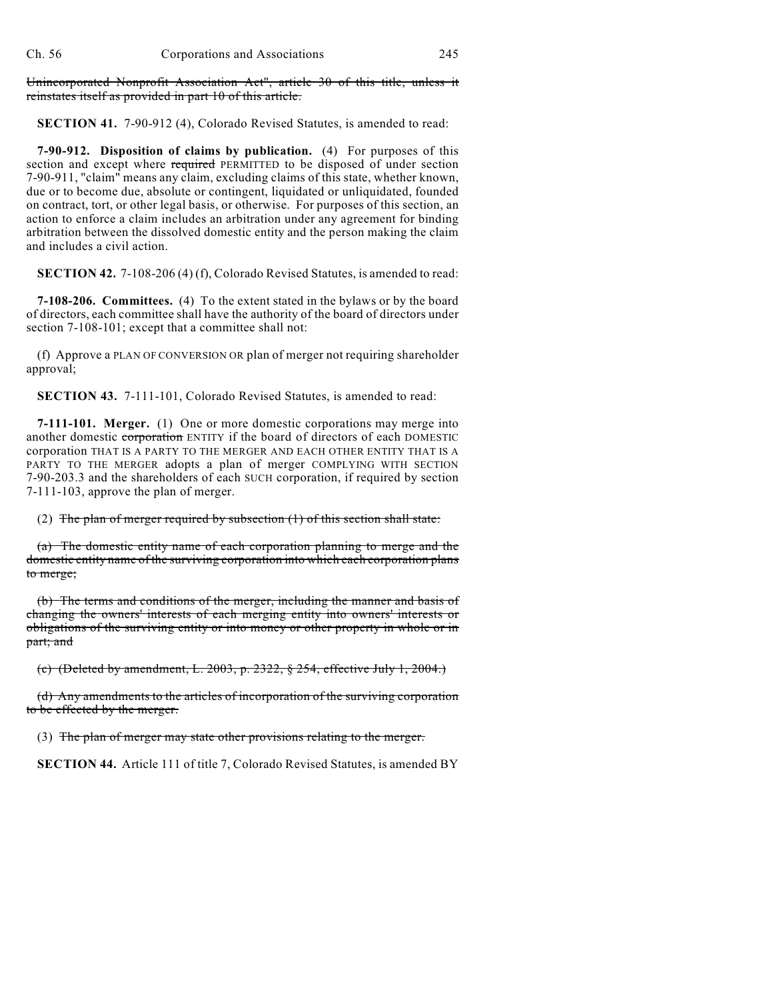Unincorporated Nonprofit Association Act", article 30 of this title, unless it reinstates itself as provided in part 10 of this article.

**SECTION 41.** 7-90-912 (4), Colorado Revised Statutes, is amended to read:

**7-90-912. Disposition of claims by publication.** (4) For purposes of this section and except where required PERMITTED to be disposed of under section 7-90-911, "claim" means any claim, excluding claims of this state, whether known, due or to become due, absolute or contingent, liquidated or unliquidated, founded on contract, tort, or other legal basis, or otherwise. For purposes of this section, an action to enforce a claim includes an arbitration under any agreement for binding arbitration between the dissolved domestic entity and the person making the claim and includes a civil action.

**SECTION 42.** 7-108-206 (4) (f), Colorado Revised Statutes, is amended to read:

**7-108-206. Committees.** (4) To the extent stated in the bylaws or by the board of directors, each committee shall have the authority of the board of directors under section 7-108-101; except that a committee shall not:

(f) Approve a PLAN OF CONVERSION OR plan of merger not requiring shareholder approval;

**SECTION 43.** 7-111-101, Colorado Revised Statutes, is amended to read:

**7-111-101. Merger.** (1) One or more domestic corporations may merge into another domestic corporation ENTITY if the board of directors of each DOMESTIC corporation THAT IS A PARTY TO THE MERGER AND EACH OTHER ENTITY THAT IS A PARTY TO THE MERGER adopts a plan of merger COMPLYING WITH SECTION 7-90-203.3 and the shareholders of each SUCH corporation, if required by section 7-111-103, approve the plan of merger.

(2) The plan of merger required by subsection  $(1)$  of this section shall state:

(a) The domestic entity name of each corporation planning to merge and the domestic entity name of the surviving corporation into which each corporation plans to merge;

(b) The terms and conditions of the merger, including the manner and basis of changing the owners' interests of each merging entity into owners' interests or obligations of the surviving entity or into money or other property in whole or in part; and

(c) (Deleted by amendment, L. 2003, p. 2322,  $\S$  254, effective July 1, 2004.)

(d) Any amendments to the articles of incorporation of the surviving corporation to be effected by the merger.

(3) The plan of merger may state other provisions relating to the merger.

**SECTION 44.** Article 111 of title 7, Colorado Revised Statutes, is amended BY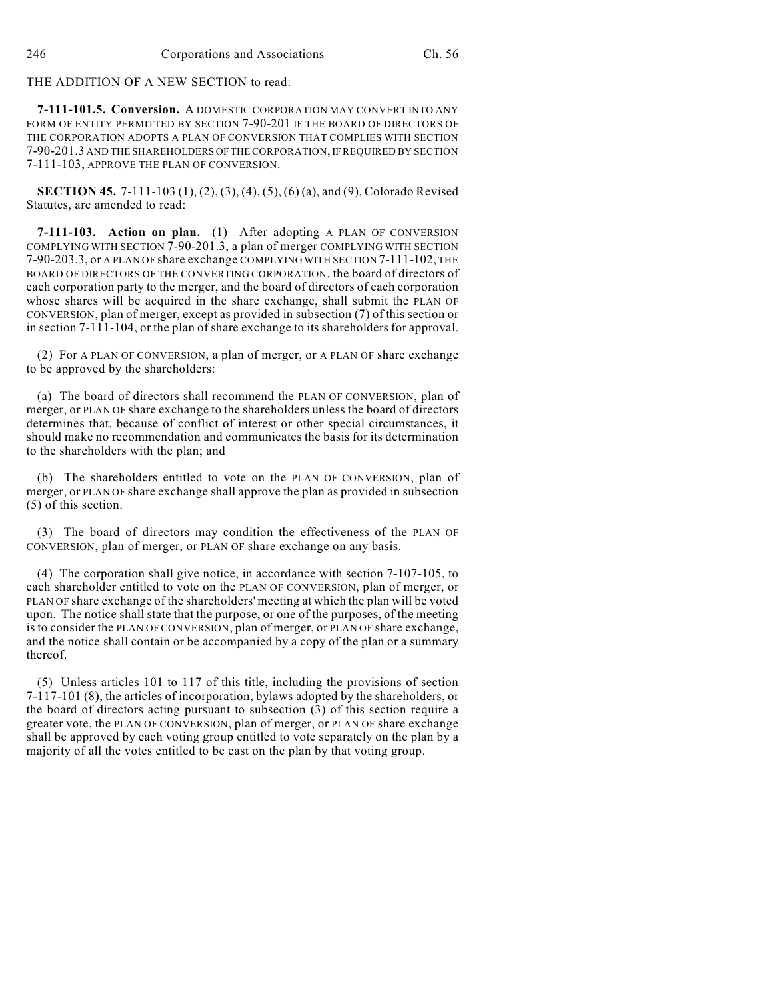THE ADDITION OF A NEW SECTION to read:

**7-111-101.5. Conversion.** A DOMESTIC CORPORATION MAY CONVERT INTO ANY FORM OF ENTITY PERMITTED BY SECTION 7-90-201 IF THE BOARD OF DIRECTORS OF THE CORPORATION ADOPTS A PLAN OF CONVERSION THAT COMPLIES WITH SECTION 7-90-201.3 AND THE SHAREHOLDERS OF THE CORPORATION, IF REQUIRED BY SECTION 7-111-103, APPROVE THE PLAN OF CONVERSION.

**SECTION 45.** 7-111-103 (1), (2), (3), (4), (5), (6) (a), and (9), Colorado Revised Statutes, are amended to read:

**7-111-103. Action on plan.** (1) After adopting A PLAN OF CONVERSION COMPLYING WITH SECTION 7-90-201.3, a plan of merger COMPLYING WITH SECTION 7-90-203.3, or A PLAN OF share exchange COMPLYING WITH SECTION 7-111-102, THE BOARD OF DIRECTORS OF THE CONVERTING CORPORATION, the board of directors of each corporation party to the merger, and the board of directors of each corporation whose shares will be acquired in the share exchange, shall submit the PLAN OF CONVERSION, plan of merger, except as provided in subsection (7) of this section or in section 7-111-104, or the plan of share exchange to its shareholders for approval.

(2) For A PLAN OF CONVERSION, a plan of merger, or A PLAN OF share exchange to be approved by the shareholders:

(a) The board of directors shall recommend the PLAN OF CONVERSION, plan of merger, or PLAN OF share exchange to the shareholders unless the board of directors determines that, because of conflict of interest or other special circumstances, it should make no recommendation and communicates the basis for its determination to the shareholders with the plan; and

(b) The shareholders entitled to vote on the PLAN OF CONVERSION, plan of merger, or PLAN OF share exchange shall approve the plan as provided in subsection (5) of this section.

(3) The board of directors may condition the effectiveness of the PLAN OF CONVERSION, plan of merger, or PLAN OF share exchange on any basis.

(4) The corporation shall give notice, in accordance with section 7-107-105, to each shareholder entitled to vote on the PLAN OF CONVERSION, plan of merger, or PLAN OF share exchange of the shareholders' meeting at which the plan will be voted upon. The notice shall state that the purpose, or one of the purposes, of the meeting is to consider the PLAN OF CONVERSION, plan of merger, or PLAN OF share exchange, and the notice shall contain or be accompanied by a copy of the plan or a summary thereof.

(5) Unless articles 101 to 117 of this title, including the provisions of section 7-117-101 (8), the articles of incorporation, bylaws adopted by the shareholders, or the board of directors acting pursuant to subsection (3) of this section require a greater vote, the PLAN OF CONVERSION, plan of merger, or PLAN OF share exchange shall be approved by each voting group entitled to vote separately on the plan by a majority of all the votes entitled to be cast on the plan by that voting group.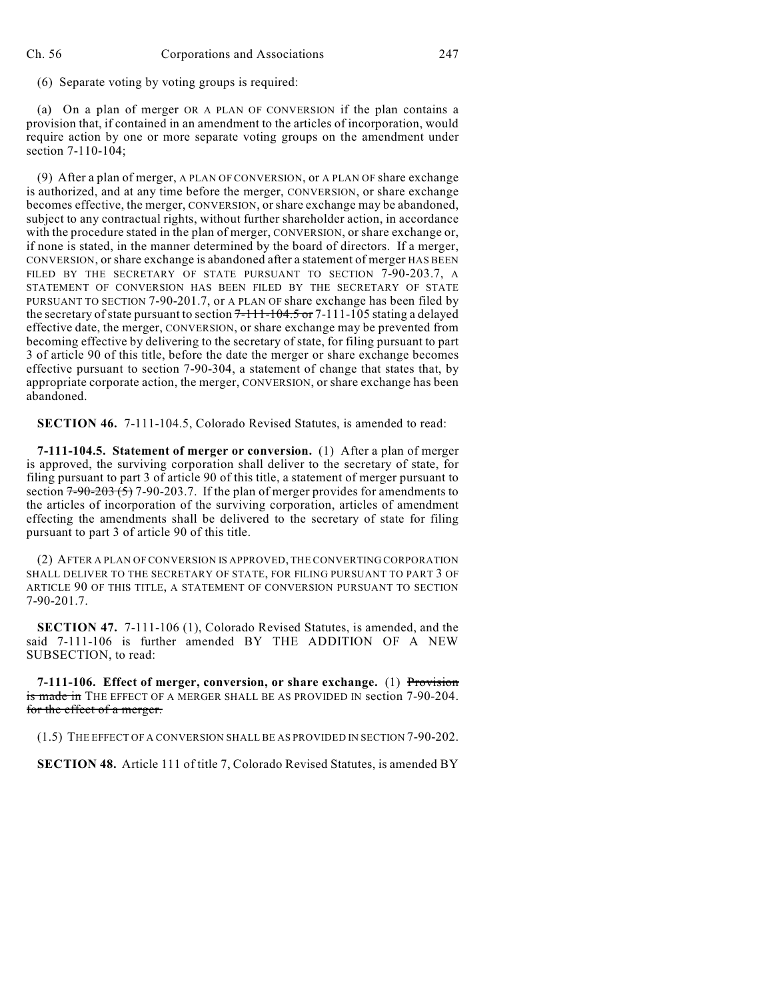(6) Separate voting by voting groups is required:

(a) On a plan of merger OR A PLAN OF CONVERSION if the plan contains a provision that, if contained in an amendment to the articles of incorporation, would require action by one or more separate voting groups on the amendment under section 7-110-104;

(9) After a plan of merger, A PLAN OF CONVERSION, or A PLAN OF share exchange is authorized, and at any time before the merger, CONVERSION, or share exchange becomes effective, the merger, CONVERSION, orshare exchange may be abandoned, subject to any contractual rights, without further shareholder action, in accordance with the procedure stated in the plan of merger, CONVERSION, or share exchange or, if none is stated, in the manner determined by the board of directors. If a merger, CONVERSION, or share exchange is abandoned after a statement of merger HAS BEEN FILED BY THE SECRETARY OF STATE PURSUANT TO SECTION 7-90-203.7, A STATEMENT OF CONVERSION HAS BEEN FILED BY THE SECRETARY OF STATE PURSUANT TO SECTION 7-90-201.7, or A PLAN OF share exchange has been filed by the secretary of state pursuant to section  $7-111-104.5$  or  $7-111-105$  stating a delayed effective date, the merger, CONVERSION, or share exchange may be prevented from becoming effective by delivering to the secretary of state, for filing pursuant to part 3 of article 90 of this title, before the date the merger or share exchange becomes effective pursuant to section 7-90-304, a statement of change that states that, by appropriate corporate action, the merger, CONVERSION, or share exchange has been abandoned.

**SECTION 46.** 7-111-104.5, Colorado Revised Statutes, is amended to read:

**7-111-104.5. Statement of merger or conversion.** (1) After a plan of merger is approved, the surviving corporation shall deliver to the secretary of state, for filing pursuant to part 3 of article 90 of this title, a statement of merger pursuant to section  $7-90-203(5)$  7-90-203.7. If the plan of merger provides for amendments to the articles of incorporation of the surviving corporation, articles of amendment effecting the amendments shall be delivered to the secretary of state for filing pursuant to part 3 of article 90 of this title.

(2) AFTER A PLAN OF CONVERSION IS APPROVED, THE CONVERTING CORPORATION SHALL DELIVER TO THE SECRETARY OF STATE, FOR FILING PURSUANT TO PART 3 OF ARTICLE 90 OF THIS TITLE, A STATEMENT OF CONVERSION PURSUANT TO SECTION 7-90-201.7.

**SECTION 47.** 7-111-106 (1), Colorado Revised Statutes, is amended, and the said 7-111-106 is further amended BY THE ADDITION OF A NEW SUBSECTION, to read:

**7-111-106. Effect of merger, conversion, or share exchange.** (1) Provision is made in THE EFFECT OF A MERGER SHALL BE AS PROVIDED IN section 7-90-204. for the effect of a merger.

(1.5) THE EFFECT OF A CONVERSION SHALL BE AS PROVIDED IN SECTION 7-90-202.

**SECTION 48.** Article 111 of title 7, Colorado Revised Statutes, is amended BY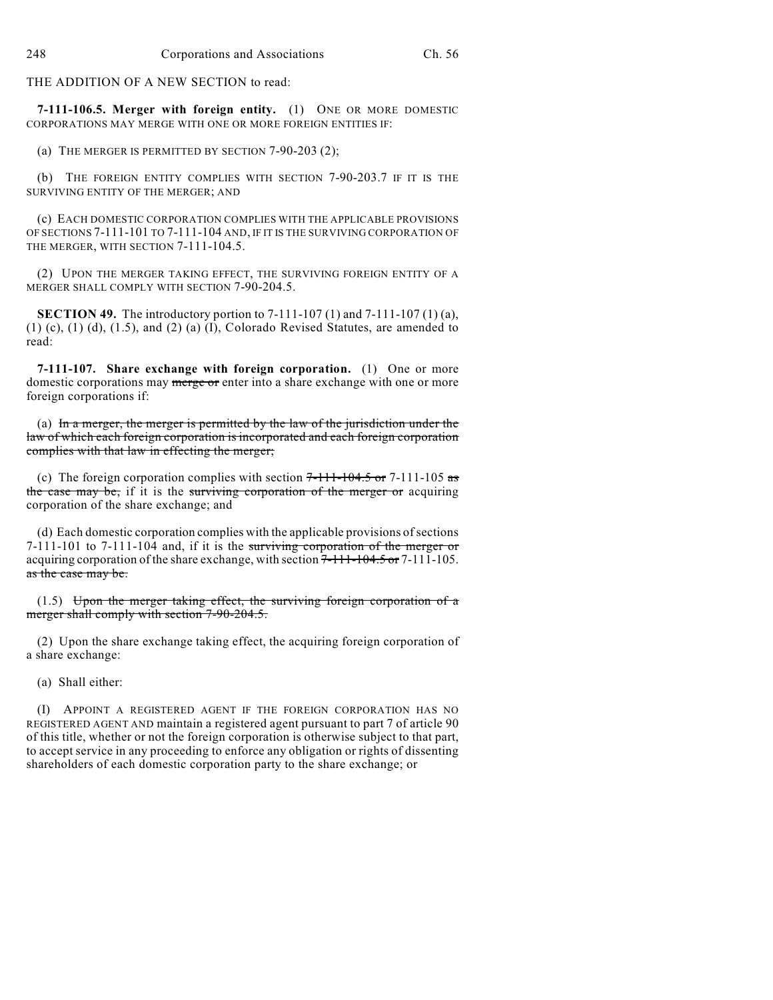THE ADDITION OF A NEW SECTION to read:

**7-111-106.5. Merger with foreign entity.** (1) ONE OR MORE DOMESTIC CORPORATIONS MAY MERGE WITH ONE OR MORE FOREIGN ENTITIES IF:

(a) THE MERGER IS PERMITTED BY SECTION 7-90-203 (2);

(b) THE FOREIGN ENTITY COMPLIES WITH SECTION 7-90-203.7 IF IT IS THE SURVIVING ENTITY OF THE MERGER; AND

(c) EACH DOMESTIC CORPORATION COMPLIES WITH THE APPLICABLE PROVISIONS OF SECTIONS 7-111-101 TO 7-111-104 AND, IF IT IS THE SURVIVING CORPORATION OF THE MERGER, WITH SECTION 7-111-104.5.

(2) UPON THE MERGER TAKING EFFECT, THE SURVIVING FOREIGN ENTITY OF A MERGER SHALL COMPLY WITH SECTION 7-90-204.5.

**SECTION 49.** The introductory portion to 7-111-107 (1) and 7-111-107 (1) (a),  $(1)$   $(c)$ ,  $(1)$   $(d)$ ,  $(1.5)$ , and  $(2)$   $(a)$   $(I)$ , Colorado Revised Statutes, are amended to read:

**7-111-107. Share exchange with foreign corporation.** (1) One or more domestic corporations may merge or enter into a share exchange with one or more foreign corporations if:

(a) In a merger, the merger is permitted by the law of the jurisdiction under the law of which each foreign corporation is incorporated and each foreign corporation complies with that law in effecting the merger;

(c) The foreign corporation complies with section  $7-111-104.5$  or  $7-111-105$  as the case may be, if it is the surviving corporation of the merger or acquiring corporation of the share exchange; and

(d) Each domestic corporation complies with the applicable provisions of sections 7-111-101 to 7-111-104 and, if it is the surviving corporation of the merger or acquiring corporation of the share exchange, with section 7-111-104.5 or 7-111-105. as the case may be.

 $(1.5)$  Upon the merger taking effect, the surviving foreign corporation of a merger shall comply with section 7-90-204.5.

(2) Upon the share exchange taking effect, the acquiring foreign corporation of a share exchange:

(a) Shall either:

(I) APPOINT A REGISTERED AGENT IF THE FOREIGN CORPORATION HAS NO REGISTERED AGENT AND maintain a registered agent pursuant to part 7 of article 90 of this title, whether or not the foreign corporation is otherwise subject to that part, to accept service in any proceeding to enforce any obligation or rights of dissenting shareholders of each domestic corporation party to the share exchange; or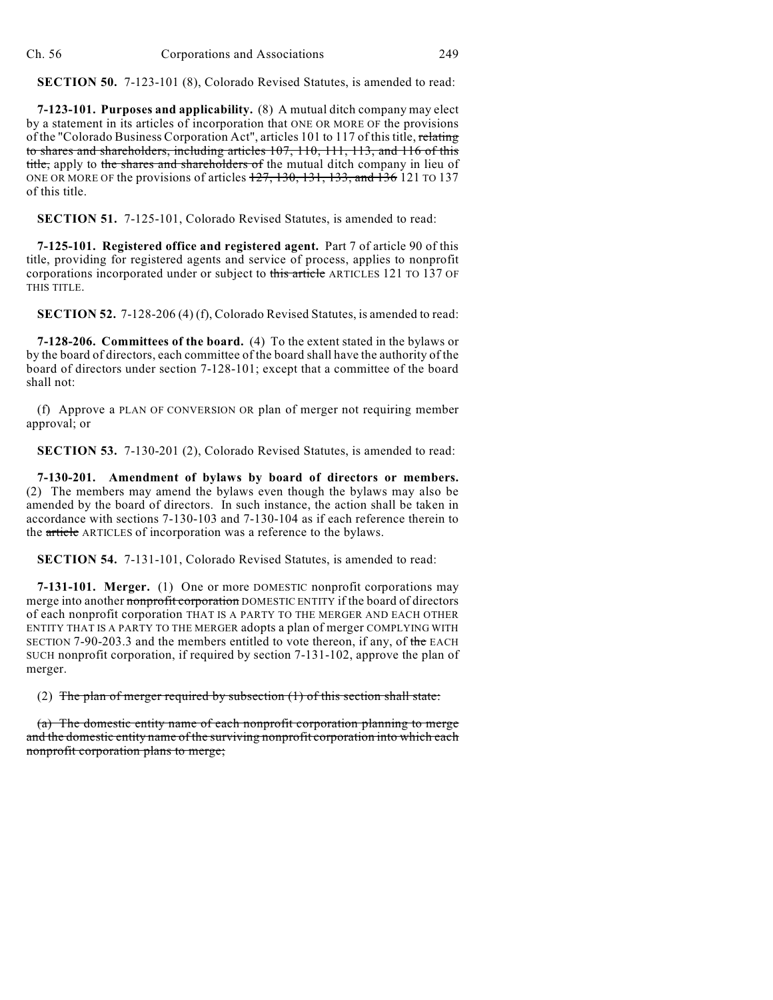**SECTION 50.** 7-123-101 (8), Colorado Revised Statutes, is amended to read:

**7-123-101. Purposes and applicability.** (8) A mutual ditch company may elect by a statement in its articles of incorporation that ONE OR MORE OF the provisions of the "Colorado Business Corporation Act", articles 101 to 117 of this title, relating to shares and shareholders, including articles 107, 110, 111, 113, and 116 of this title, apply to the shares and shareholders of the mutual ditch company in lieu of ONE OR MORE OF the provisions of articles 127, 130, 131, 133, and 136 121 TO 137 of this title.

**SECTION 51.** 7-125-101, Colorado Revised Statutes, is amended to read:

**7-125-101. Registered office and registered agent.** Part 7 of article 90 of this title, providing for registered agents and service of process, applies to nonprofit corporations incorporated under or subject to this article ARTICLES 121 TO 137 OF THIS TITLE.

**SECTION 52.** 7-128-206 (4) (f), Colorado Revised Statutes, is amended to read:

**7-128-206. Committees of the board.** (4) To the extent stated in the bylaws or by the board of directors, each committee of the board shall have the authority of the board of directors under section 7-128-101; except that a committee of the board shall not:

(f) Approve a PLAN OF CONVERSION OR plan of merger not requiring member approval; or

**SECTION 53.** 7-130-201 (2), Colorado Revised Statutes, is amended to read:

**7-130-201. Amendment of bylaws by board of directors or members.** (2) The members may amend the bylaws even though the bylaws may also be amended by the board of directors. In such instance, the action shall be taken in accordance with sections 7-130-103 and 7-130-104 as if each reference therein to the article ARTICLES of incorporation was a reference to the bylaws.

**SECTION 54.** 7-131-101, Colorado Revised Statutes, is amended to read:

**7-131-101. Merger.** (1) One or more DOMESTIC nonprofit corporations may merge into another nonprofit corporation DOMESTIC ENTITY if the board of directors of each nonprofit corporation THAT IS A PARTY TO THE MERGER AND EACH OTHER ENTITY THAT IS A PARTY TO THE MERGER adopts a plan of merger COMPLYING WITH SECTION 7-90-203.3 and the members entitled to vote thereon, if any, of the EACH SUCH nonprofit corporation, if required by section 7-131-102, approve the plan of merger.

(2) The plan of merger required by subsection  $(1)$  of this section shall state:

(a) The domestic entity name of each nonprofit corporation planning to merge and the domestic entity name of the surviving nonprofit corporation into which each nonprofit corporation plans to merge;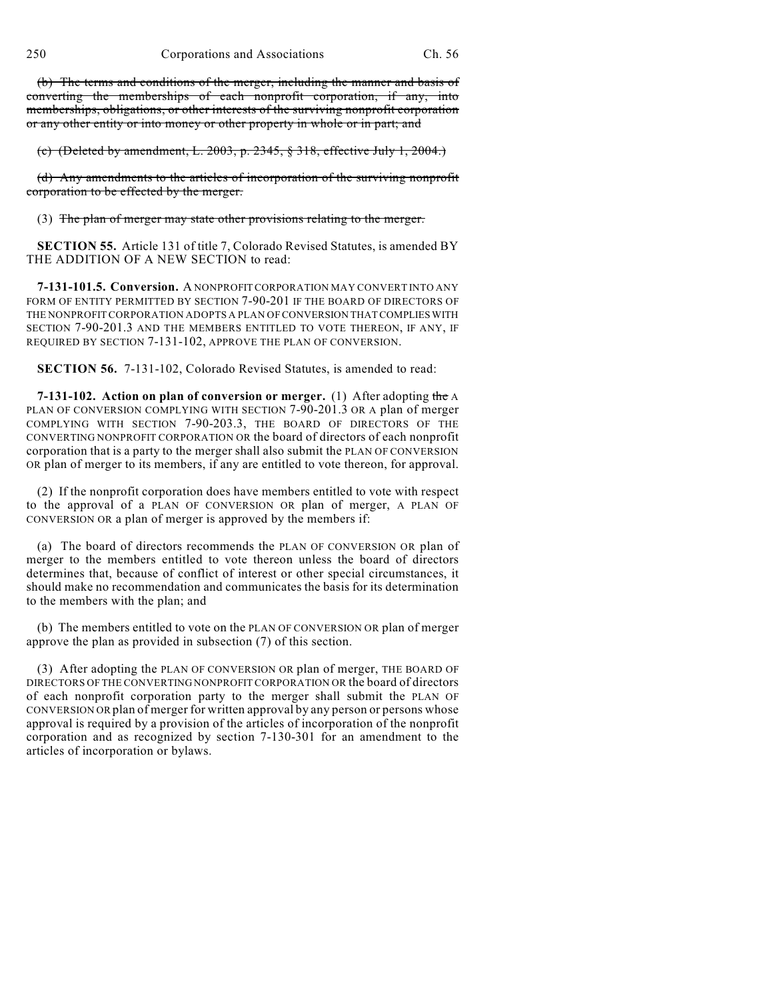(b) The terms and conditions of the merger, including the manner and basis of converting the memberships of each nonprofit corporation, if any, into memberships, obligations, or other interests of the surviving nonprofit corporation or any other entity or into money or other property in whole or in part; and

(c) (Deleted by amendment, L. 2003, p. 2345, § 318, effective July 1, 2004.)

(d) Any amendments to the articles of incorporation of the surviving nonprofit corporation to be effected by the merger.

(3) The plan of merger may state other provisions relating to the merger.

**SECTION 55.** Article 131 of title 7, Colorado Revised Statutes, is amended BY THE ADDITION OF A NEW SECTION to read:

**7-131-101.5. Conversion.** A NONPROFIT CORPORATION MAY CONVERT INTO ANY FORM OF ENTITY PERMITTED BY SECTION 7-90-201 IF THE BOARD OF DIRECTORS OF THE NONPROFIT CORPORATION ADOPTS A PLAN OF CONVERSION THAT COMPLIES WITH SECTION 7-90-201.3 AND THE MEMBERS ENTITLED TO VOTE THEREON, IF ANY, IF REQUIRED BY SECTION 7-131-102, APPROVE THE PLAN OF CONVERSION.

**SECTION 56.** 7-131-102, Colorado Revised Statutes, is amended to read:

**7-131-102. Action on plan of conversion or merger.** (1) After adopting the A PLAN OF CONVERSION COMPLYING WITH SECTION 7-90-201.3 OR A plan of merger COMPLYING WITH SECTION 7-90-203.3, THE BOARD OF DIRECTORS OF THE CONVERTING NONPROFIT CORPORATION OR the board of directors of each nonprofit corporation that is a party to the merger shall also submit the PLAN OF CONVERSION OR plan of merger to its members, if any are entitled to vote thereon, for approval.

(2) If the nonprofit corporation does have members entitled to vote with respect to the approval of a PLAN OF CONVERSION OR plan of merger, A PLAN OF CONVERSION OR a plan of merger is approved by the members if:

(a) The board of directors recommends the PLAN OF CONVERSION OR plan of merger to the members entitled to vote thereon unless the board of directors determines that, because of conflict of interest or other special circumstances, it should make no recommendation and communicates the basis for its determination to the members with the plan; and

(b) The members entitled to vote on the PLAN OF CONVERSION OR plan of merger approve the plan as provided in subsection (7) of this section.

(3) After adopting the PLAN OF CONVERSION OR plan of merger, THE BOARD OF DIRECTORS OF THE CONVERTING NONPROFIT CORPORATION OR the board of directors of each nonprofit corporation party to the merger shall submit the PLAN OF CONVERSION OR plan of merger for written approval by any person or persons whose approval is required by a provision of the articles of incorporation of the nonprofit corporation and as recognized by section 7-130-301 for an amendment to the articles of incorporation or bylaws.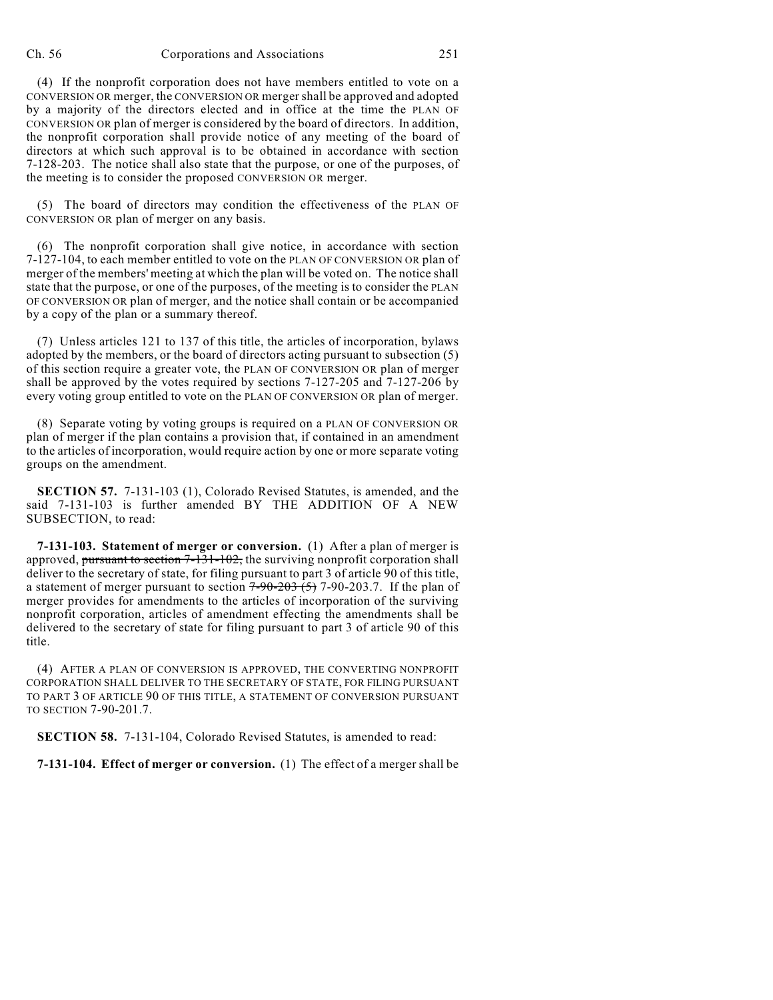#### Ch. 56 Corporations and Associations 251

(4) If the nonprofit corporation does not have members entitled to vote on a CONVERSION OR merger, the CONVERSION OR merger shall be approved and adopted by a majority of the directors elected and in office at the time the PLAN OF CONVERSION OR plan of merger is considered by the board of directors. In addition, the nonprofit corporation shall provide notice of any meeting of the board of directors at which such approval is to be obtained in accordance with section 7-128-203. The notice shall also state that the purpose, or one of the purposes, of the meeting is to consider the proposed CONVERSION OR merger.

(5) The board of directors may condition the effectiveness of the PLAN OF CONVERSION OR plan of merger on any basis.

(6) The nonprofit corporation shall give notice, in accordance with section 7-127-104, to each member entitled to vote on the PLAN OF CONVERSION OR plan of merger of the members' meeting at which the plan will be voted on. The notice shall state that the purpose, or one of the purposes, of the meeting is to consider the PLAN OF CONVERSION OR plan of merger, and the notice shall contain or be accompanied by a copy of the plan or a summary thereof.

(7) Unless articles 121 to 137 of this title, the articles of incorporation, bylaws adopted by the members, or the board of directors acting pursuant to subsection (5) of this section require a greater vote, the PLAN OF CONVERSION OR plan of merger shall be approved by the votes required by sections 7-127-205 and 7-127-206 by every voting group entitled to vote on the PLAN OF CONVERSION OR plan of merger.

(8) Separate voting by voting groups is required on a PLAN OF CONVERSION OR plan of merger if the plan contains a provision that, if contained in an amendment to the articles of incorporation, would require action by one or more separate voting groups on the amendment.

**SECTION 57.** 7-131-103 (1), Colorado Revised Statutes, is amended, and the said 7-131-103 is further amended BY THE ADDITION OF A NEW SUBSECTION, to read:

**7-131-103. Statement of merger or conversion.** (1) After a plan of merger is approved, pursuant to section 7-131-102, the surviving nonprofit corporation shall deliver to the secretary of state, for filing pursuant to part 3 of article 90 of this title, a statement of merger pursuant to section  $7-90-203$  (5)  $7-90-203$ .7. If the plan of merger provides for amendments to the articles of incorporation of the surviving nonprofit corporation, articles of amendment effecting the amendments shall be delivered to the secretary of state for filing pursuant to part 3 of article 90 of this title.

(4) AFTER A PLAN OF CONVERSION IS APPROVED, THE CONVERTING NONPROFIT CORPORATION SHALL DELIVER TO THE SECRETARY OF STATE, FOR FILING PURSUANT TO PART 3 OF ARTICLE 90 OF THIS TITLE, A STATEMENT OF CONVERSION PURSUANT TO SECTION 7-90-201.7.

**SECTION 58.** 7-131-104, Colorado Revised Statutes, is amended to read:

**7-131-104. Effect of merger or conversion.** (1) The effect of a merger shall be